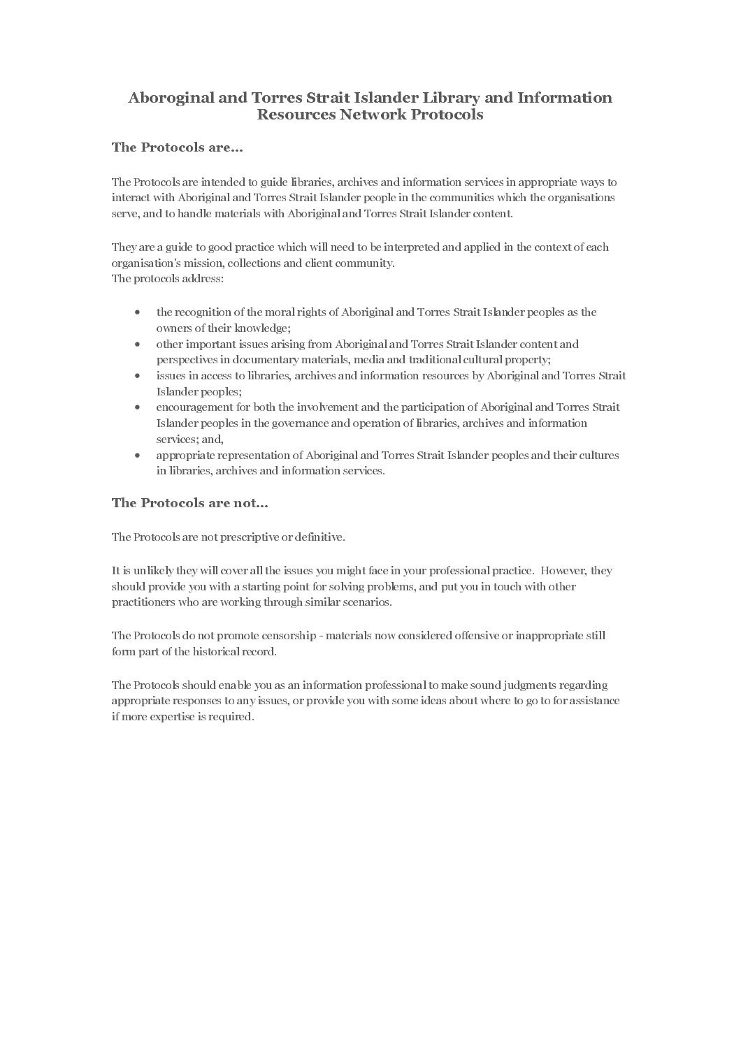# Aboroginal and Torres Strait Islander Library and Information Resources Network Protocols

# The Protocols are...

The Protocols are intended to guide libraries, archives and information services in appropriate ways to interact with Aboriginal and Torres Strait Islander people in the communities which the organisations serve, and to handle materials with Aboriginal and Torres Strait Islander content.

They are a guide to good practice which will need to be interpreted and applied in the context of each organisation's mission, collections and client community. The protocols address:

- the recognition of the moral rights of Aboriginal and Torres Strait Islander peoples as the owners of their knowledge;
- other important issues arising from Aboriginal and Torres Strait Islander content and perspectives in documentary materials, media and traditional cultural property;
- issues in access to libraries, archives and information resources by Aboriginal and Torres Strait Islander peoples;
- encouragement for both the involvement and the participation of Aboriginal and Torres Strait Islander peoples in the governance and operation of libraries, archives and information services; and,
- appropriate representation of Aboriginal and Torres Strait Islander peoples and their cultures in libraries, archives and information services.

# The Protocols are not...

The Protocols are not prescriptive or definitive.

It is unlikely they will cover all the issues you might face in your professional practice. However, they should provide you with a starting point for solving problems, and put you in touch with other practitioners who are working through similar scenarios.

The Protocols do not promote censorship - materials now considered offensive or inappropriate still form part of the historical record.

The Protocols should enable you as an information professional to make sound judgments regarding appropriate responses to any issues, or provide you with some ideas about where to go to for assistance if more expertise is required.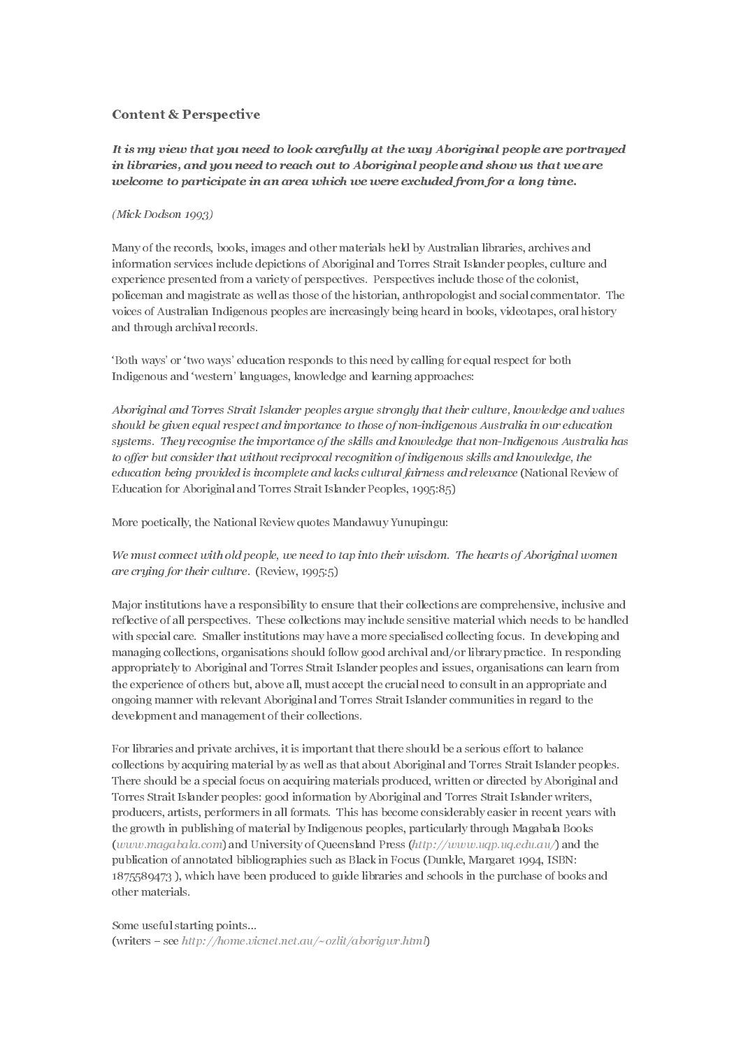#### Content & Perspective

It is my view that you need to look carefully at the way Aboriginal people are portrayed in libraries, and you need to reach out to Aboriginal people and show us that we are welcome to participate in an area which we were excluded from for a long time.

#### $(Mick\ Dodson\ 1993)$

Many of the records, books, images and other materials held by Australian libraries, archives and information services include depictions of Aboriginal and Torres Strait Islander peoples, culture and experience presented from a variety of perspectives. Perspectives include those of the colonist, policeman and magistrate as well as those of the historian, anthropologist and social commentator. The voices of Australian Indigenous peoples are increasingly being heard in books, videotapes, oral history and through archival records.

'Both ways' or 'two ways' education responds to this need by calling for equal respect for both Indigenous and 'western' languages, knowledge and learning approaches:

Aboriginal and Torres Strait Islander peoples argue strongly that their culture, knowledge and values should be given equal respect and importance to those of non-indigenous Australia in our education systems. They recognise the importance of the skills and knowledge that non-Indigenous Australia has to offer but consider that without reciprocal recognition of indigenous skills and knowledge, the education being provided is incomplete and lacks cultural fairness and relevance (National Review of Education for Aboriginal and Torres Strait Islander Peoples, 1995:85)

More poetically, the National Review quotes Mandawuy Yunupingu:

We must connect with old people, we need to tap into their wisdom. The hearts of Aboriginal women are crying for their culture. (Review,  $1995:5$ )

Major institutions have a responsibility to ensure that their collections are comprehensive, inclusive and reflective of all perspectives. These collections may include sensitive material which needs to be handled with special care. Smaller institutions may have a more specialised collecting focus. In developing and managing collections, organisations should follow good archival and/or library practice. In responding appropriately to Aboriginal and Torres Strait Islander peoples and issues, organisations can learn from the experience of others but, above all, must accept the crucial need to consult in an appropriate and ongoing manner with relevant Aboriginal and Torres Strait Islander communities in regard to the development and management of their collections.

For libraries and private archives, it is important that there should be a serious effort to balance collections by acquiring material by as well as that about Aboriginal and Torres Strait Islander peoples. There should be a special focus on acquiring materials produced, written or directed by Aboriginal and Torres Strait Islander peoples: good information by Aboriginal and Torres Strait Islander writers, producers, artists, performers in all formats. This has become considerably easier in recent years with the growth in publishing of material by Indigenous peoples, particularly through Magabala Books (www.magabala.com) and University of Queensland Press (http://www.uqp.uq.edu.au/) and the publication of annotated bibliographies such as Black in Focus (Dunkle, Margaret 1994, ISBN: 1875589473 ), which have been produced to guide libraries and schools in the purchase of books and other materials.

#### Some useful starting points…

(writers – see http://home.vicnet.net.au/~ozlit/aborigwr.html)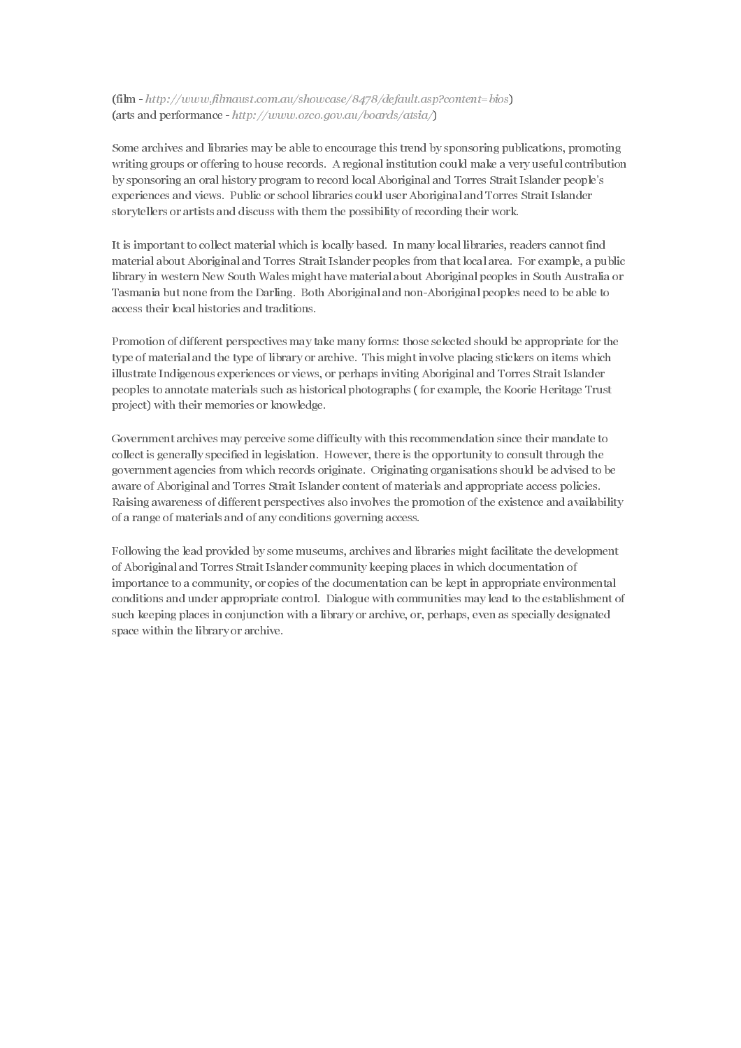$(film - http://www.filmaust.com.au/showcase/8478/default.asp?content = bios)$ (arts and performance - http://www.ozco.gov.au/boards/atsia/ $\Gamma$ 

Some archives and libraries may be able to encourage this trend by sponsoring publications, promoting writing groups or offering to house records. A regional institution could make a very useful contribution by sponsoring an oral history program to record local Aboriginal and Torres Strait Islander people's experiences and views. Public or school libraries could user Aboriginal and Torres Strait Islander storytellers or artists and discuss with them the possibility of recording their work.

It is important to collect material which is locally based. In many local libraries, readers cannot find material about Aboriginal and Torres Strait Islander peoples from that local area. For example, a public library in western New South Wales might have material about Aboriginal peoples in South Australia or Tasmania but none from the Darling. Both Aboriginal and non-Aboriginal peoples need to be able to access their local histories and traditions.

Promotion of different perspectives may take many forms: those selected should be appropriate for the type of material and the type of library or archive. This might involve placing stickers on items which illustrate Indigenous experiences or views, or perhaps inviting Aboriginal and Torres Strait Islander peoples to annotate materials such as historical photographs ( for example, the Koorie Heritage Trust project) with their memories or knowledge.

Government archives may perceive some difficulty with this recommendation since their mandate to collect is generally specified in legislation. However, there is the opportunity to consult through the government agencies from which records originate. Originating organisations should be advised to be aware of Aboriginal and Torres Strait Islander content of materials and appropriate access policies. Raising awareness of different perspectives also involves the promotion of the existence and availability of a range of materials and of any conditions governing access.

Following the lead provided by some museums, archives and libraries might facilitate the development of Aboriginal and Torres Strait Islander community keeping places in which documentation of importance to a community, or copies of the documentation can be kept in appropriate environmental conditions and under appropriate control. Dialogue with communities may lead to the establishment of such keeping places in conjunction with a library or archive, or, perhaps, even as specially designated space within the library or archive.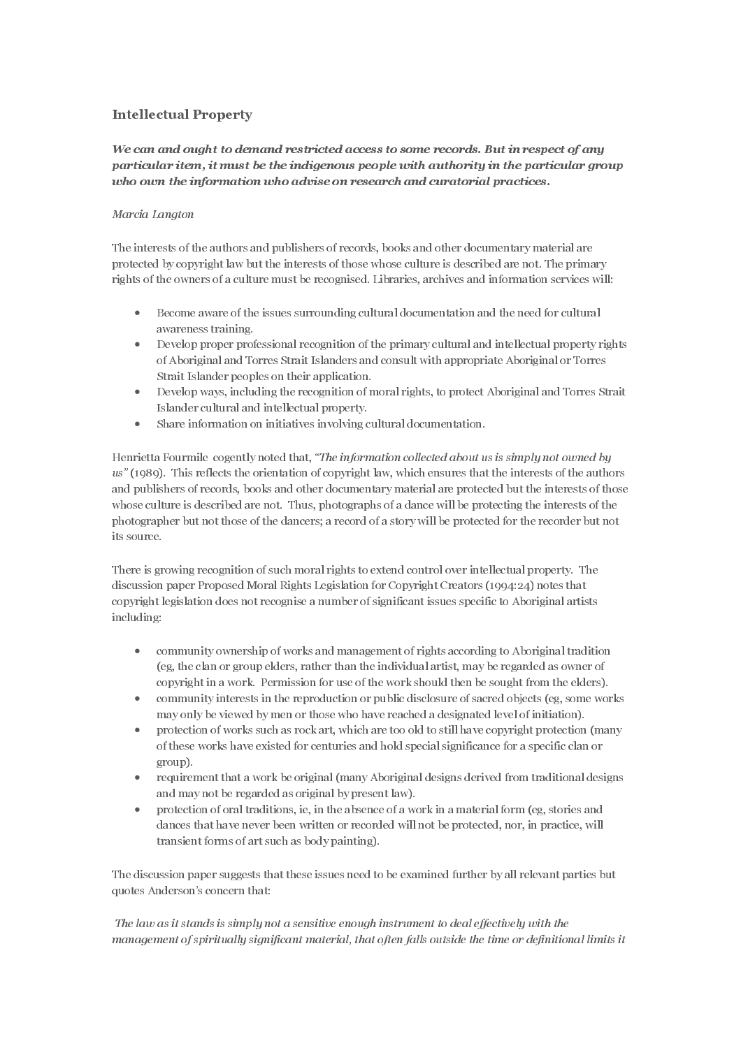# Intellectual Property

### Marcia Lanaton

The interests of the authors and publishers of records, books and other documentary material are protected by copyright law but the interests of those whose culture is described are not. The primary rights of the owners of a culture must be recognised. Libraries, archives and information services will:

- Become aware of the issues surrounding cultural documentation and the need for cultural awareness training.
- Develop proper professional recognition of the primary cultural and intellectual property rights of Aboriginal and Torres Strait Islanders and consult with appropriate Aboriginal or Torres Strait Islander peoples on their application.
- Develop ways, including the recognition of moral rights, to protect Aboriginal and Torres Strait Islander cultural and intellectual property.
- Share information on initiatives involving cultural documentation.

per returner from at the interimbena procedure in the canonical perturn of the case of any standard restricted access to the analogo and access to the analogo and perturnation and performation and performation and perform holo count the information to<br>bo orbitse on reasonned and entertorial particular interactions of the<br>strain distribution of the interaction of the interaction of the interaction<br>of the interaction of the interaction of th Where it is a state of the state of the interest of the state of the interest of the state of the interest of the interest of the interest of the interest of the interest of the interest of the interest of the interest of Henrietta Fourmile cogently noted that, "The information collected about us is simply not owned by us" (1989). This reflects the orientation of copyright law, which ensures that the interests of the authors and publishers of records, books and other documentary material are protected but the interests of those whose culture is described are not. Thus, photographs of a dance will be protecting the interests of the photographer but not those of the dancers; a record of a story will be protected for the recorder but not its source.

There is growing recognition of such moral rights to extend control over intellectual property. The discussion paper Proposed Moral Rights Legislation for Copyright Creators (1994:24) notes that copyright legislation does not recognise a number of significant issues specific to Aboriginal artists including:

- community ownership of works and management of rights according to Aboriginal tradition (eg, the clan or group elders, rather than the individual artist, may be regarded as owner of copyright in a work. Permission for use of the work should then be sought from the elders).
- community interests in the reproduction or public disclosure of sacred objects (eg, some works may only be viewed by men or those who have reached a designated level of initiation).
- protection of works such as rock art, which are too old to still have copyright protection (many of these works have existed for centuries and hold special significance for a specific clan or group).
- requirement that a work be original (many Aboriginal designs derived from traditional designs and may not be regarded as original by present law).
- protection of oral traditions, ie, in the absence of a work in a material form (eg, stories and dances that have never been written or recorded will not be protected, nor, in practice, will transient forms of art such as body painting).

The discussion paper suggests that these issues need to be examined further by all relevant parties but quotes Anderson's concern that:

The law as it stands is simply not a sensitive enough instrument to deal effectively with the management of spiritually significant material, that often falls outside the time or definitional limits it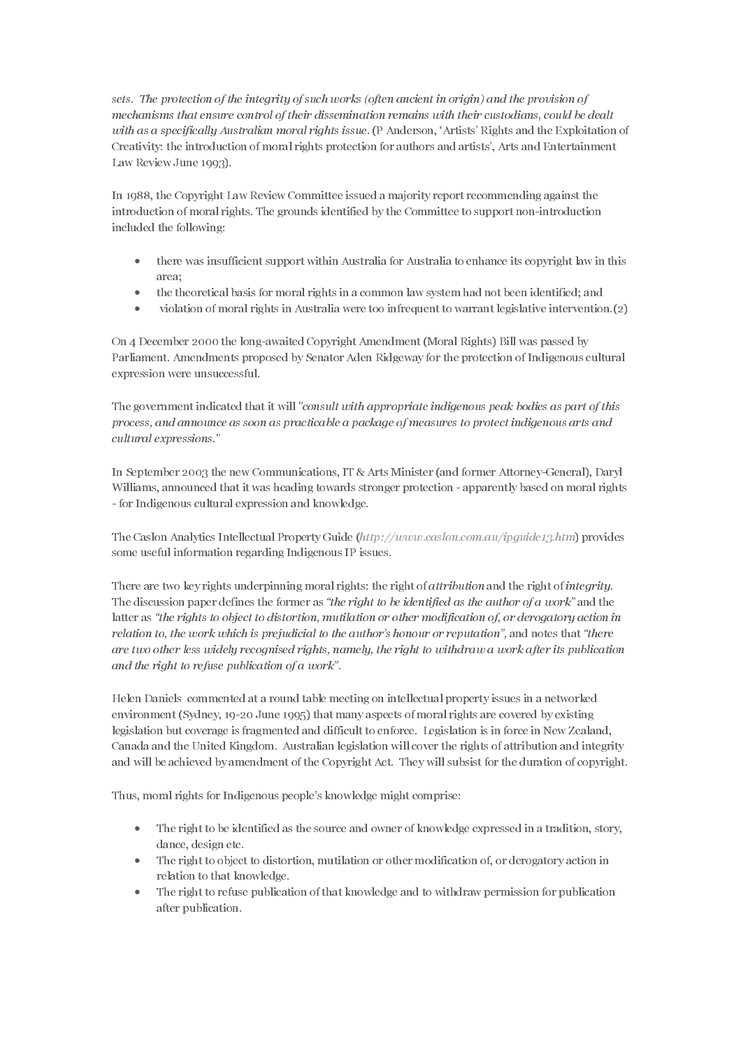sets. The protection of the integrity of such works (often ancient in origin) and the provision of mechanisms that ensure control of their dissemination remains with their custodians, could be dealt with as a specifically Australian moral rights issue. (P Anderson, 'Artists' Rights and the Exploitation of Creativity: the introduction of moral rights protection for authors and artists', Arts and Entertainment Law Review June 1993).

In 1988, the Copyright Law Review Committee issued a majority report recommending against the introduction of moral rights. The grounds identified by the Committee to support non-introduction included the following:

- there was insufficient support within Australia for Australia to enhance its copyright law in this area;
- the theoretical basis for moral rights in a common law system had not been identified; and
- violation of moral rights in Australia were too infrequent to warrant legislative intervention.(2)

On 4 December 2000 the long-awaited Copyright Amendment (Moral Rights) Bill was passed by Parliament. Amendments proposed by Senator Aden Ridgeway for the protection of Indigenous cultural expression were unsuccessful.

The government indicated that it will "consult with appropriate indigenous peak bodies as part of this process, and announce as soon as practicable a package of measures to protect indigenous arts and cultural expressions."

In September 2003 the new Communications, IT & Arts Minister (and former Attorney-General), Daryl Williams, announced that it was heading towards stronger protection - apparently based on moral rights - for Indigenous cultural expression and knowledge.

The Caslon Analytics Intellectual Property Guide (http://www.caslon.com.au/ipguide13.htm) provides some useful information regarding Indigenous IP issues.

There are two key rights underpinning moral rights: the right of *attribution* and the right of *integrity*. The discussion paper defines the former as "the right to be identified as the author of a work" and the latter as "the rights to object to distortion, mutilation or other modification of, or derogatory action in relation to, the work which is prejudicial to the author's honour or reputation", and notes that "there are two other less widely recognised rights, namely, the right to withdraw a work after its publication and the right to refuse publication of a work".

Helen Daniels commented at a round table meeting on intellectual property issues in a networked environment (Sydney, 19-20 June 1995) that many aspects of moral rights are covered by existing legislation but coverage is fragmented and difficult to enforce. Legislation is in force in New Zealand, Canada and the United Kingdom. Australian legislation will cover the rights of attribution and integrity and will be achieved by amendment of the Copyright Act. They will subsist for the duration of copyright.

Thus, moral rights for Indigenous people's knowledge might comprise:

- The right to be identified as the source and owner of knowledge expressed in a tradition, story, dance, design etc.
- The right to object to distortion, mutilation or other modification of, or derogatory action in relation to that knowledge.
- The right to refuse publication of that knowledge and to withdraw permission for publication after publication.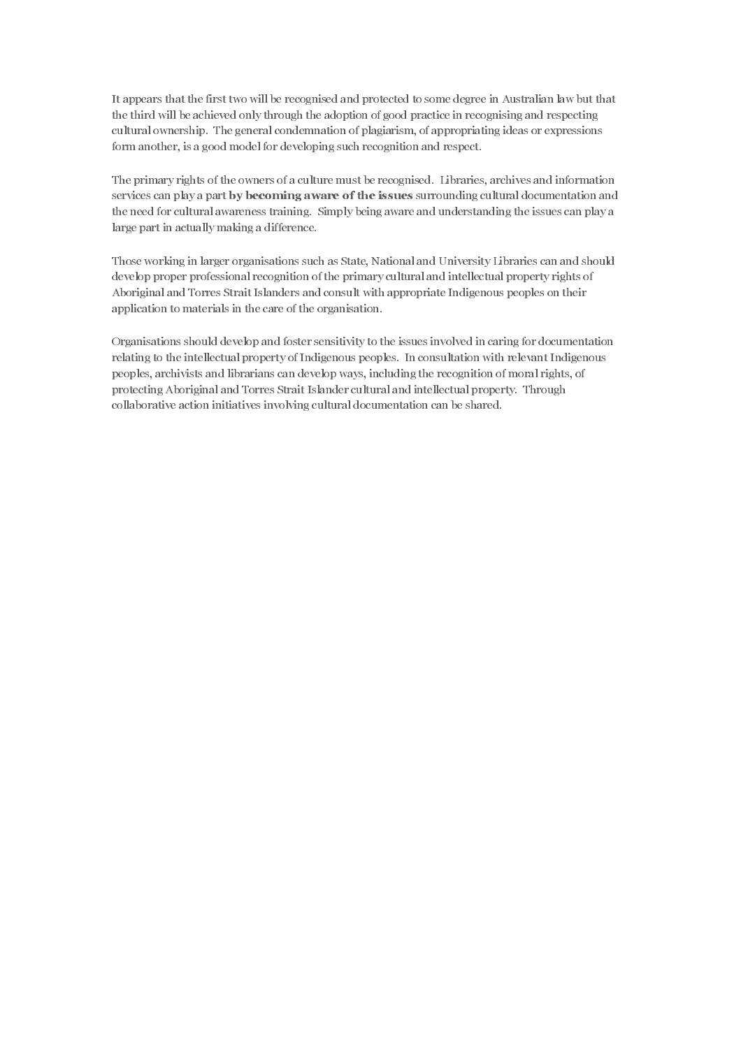It appears that the first two will be recognised and protected to some degree in Australian law but that the third will be achieved only through the adoption of good practice in recognising and respecting cultural ownership. The general condemnation of plagiarism, of appropriating ideas or expressions form another, is a good model for developing such recognition and respect.

The primary rights of the owners of a culture must be recognised. Libraries, archives and information the need for cultural awareness training. Simply being aware and understanding the issues can play a large part in actually making a difference.

Those working in larger organisations such as State, National and University Libraries can and should develop proper professional recognition of the primary cultural and intellectual property rights of Aboriginal and Torres Strait Islanders and consult with appropriate Indigenous peoples on their application to materials in the care of the organisation.

services can play a part Toy becoming severe of the issues are normalizing cultural documentation and<br>the media of the intermediation and an State National and Taiweary Horizon's a radio dollar<br>that Theorem in accumulation Organisations should develop and foster sensitivity to the issues involved in caring for documentation relating to the intellectual property of Indigenous peoples. In consultation with relevant Indigenous peoples, archivists and librarians can develop ways, including the recognition of moral rights, of protecting Aboriginal and Torres Strait Islander cultural and intellectual property. Through collaborative action initiatives involving cultural documentation can be shared.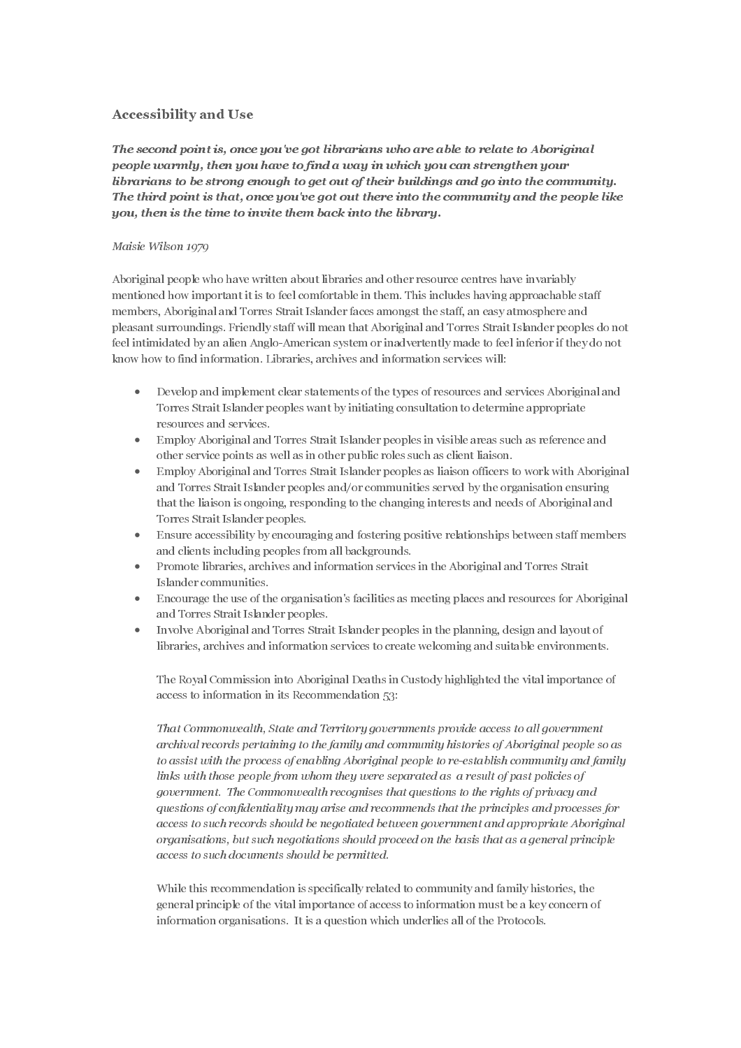The second point is, once<br>people warmly, then you<br>librarians to be strong er<br>The third point is that, or<br>you, then is the time to in The second point is, once you've got librarians who are able to relate to Aboriginal people warmly, then you have to find a way in which you can strengthen your librarians to be strong enough to get out of their buildings and go into the community. The third point is that, once you've got out there into the community and the people like you, then is the time to invite them back into the library.

#### Maisie Wilson 1979

Aboriginal people who have written about libraries and other resource centres have invariably mentioned how important it is to feel comfortable in them. This includes having approachable staff members, Aboriginal and Torres Strait Islander faces amongst the staff, an easy atmosphere and pleasant surroundings. Friendly staff will mean that Aboriginal and Torres Strait Islander peoples do not feel intimidated by an alien Anglo-American system or inadvertently made to feel inferior if they do not know how to find information. Libraries, archives and information services will:

- Develop and implement clear statements of the types of resources and services Aboriginal and Torres Strait Islander peoples want by initiating consultation to determine appropriate resources and services.
- Employ Aboriginal and Torres Strait Islander peoples in visible areas such as reference and other service points as well as in other public roles such as client liaison.
- Employ Aboriginal and Torres Strait Islander peoples as liaison officers to work with Aboriginal and Torres Strait Islander peoples and/or communities served by the organisation ensuring that the liaison is ongoing, responding to the changing interests and needs of Aboriginal and Torres Strait Islander peoples.
- Ensure accessibility by encouraging and fostering positive relationships between staff members and clients including peoples from all backgrounds.
- Promote libraries, archives and information services in the Aboriginal and Torres Strait Islander communities.
- Encourage the use of the organisation's facilities as meeting places and resources for Aboriginal and Torres Strait Islander peoples.
- Involve Aboriginal and Torres Strait Islander peoples in the planning, design and layout of libraries, archives and information services to create welcoming and suitable environments.

The Royal Commission into Aboriginal Deaths in Custody highlighted the vital importance of access to information in its Recommendation 53:

That Commonwealth, State and Territory governments provide access to all government archival records pertaining to the family and community histories of Aboriginal people so as to assist with the process of enabling Aboriginal people to re-establish community and family links with those people from whom they were separated as a result of past policies of government. The Commonwealth recognises that questions to the rights of privacy and questions of confidentiality may arise and recommends that the principles and processes for access to such records should be negotiated between government and appropriate Aboriginal organisations, but such negotiations should proceed on the basis that as a general principle access to such documents should be permitted.

While this recommendation is specifically related to community and family histories, the general principle of the vital importance of access to information must be a key concern of information organisations. It is a question which underlies all of the Protocols.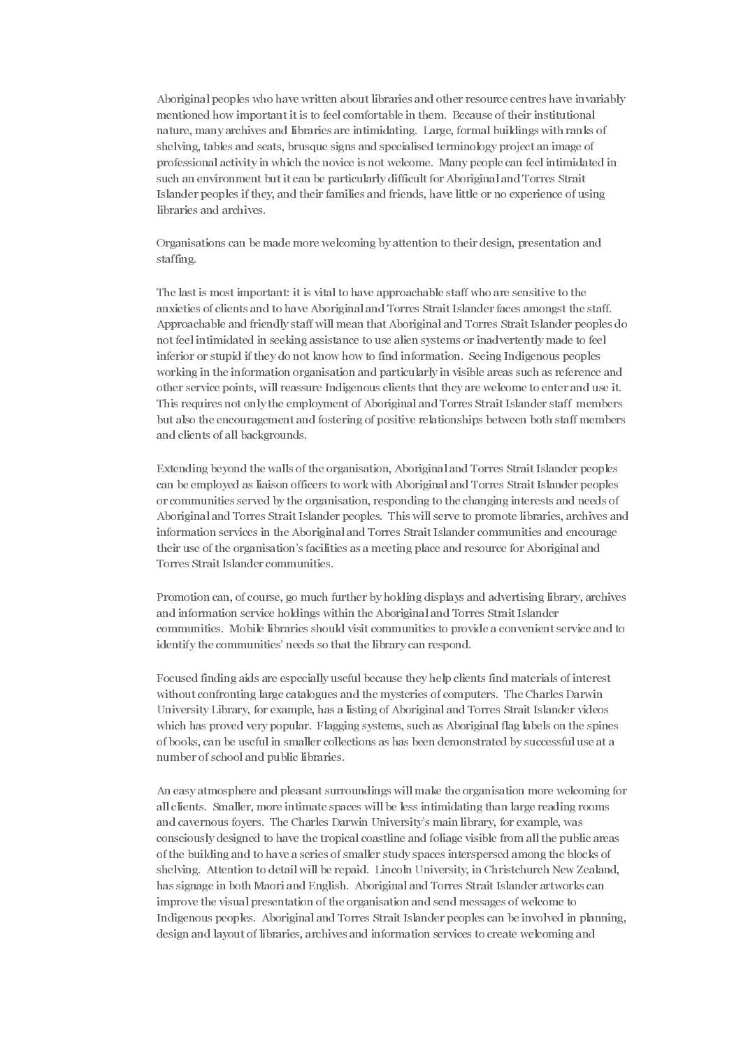Aboriginal peoples who have written about libraries and other resource centres have invariably mentioned how important it is to feel comfortable in them. Because of their institutional nature, many archives and libraries are intimidating. Large, formal buildings with ranks of shelving, tables and seats, brusque signs and specialised terminology project an image of professional activity in which the novice is not welcome. Many people can feel intimidated in such an environment but it can be particularly difficult for Aboriginal and Torres Strait Islander peoples if they, and their families and friends, have little or no experience of using libraries and archives.

Organisations can be made more welcoming by attention to their design, presentation and staffing.

The last is most important: it is vital to have approachable staff who are sensitive to the anxieties of clients and to have Aboriginal and Torres Strait Islander faces amongst the staff. Approachable and friendly staff will mean that Aboriginal and Torres Strait Islander peoples do not feel intimidated in seeking assistance to use alien systems or inadvertently made to feel inferior or stupid if they do not know how to find information. Seeing Indigenous peoples working in the information organisation and particularly in visible areas such as reference and other service points, will reassure Indigenous clients that they are welcome to enter and use it. This requires not only the employment of Aboriginal and Torres Strait Islander staff members but also the encouragement and fostering of positive relationships between both staff members and clients of all backgrounds.

Extending beyond the walls of the organisation, Aboriginal and Torres Strait Islander peoples can be employed as liaison officers to work with Aboriginal and Torres Strait Islander peoples or communities served by the organisation, responding to the changing interests and needs of Aboriginal and Torres Strait Islander peoples. This will serve to promote libraries, archives and information services in the Aboriginal and Torres Strait Islander communities and encourage their use of the organisation's facilities as a meeting place and resource for Aboriginal and Torres Strait Islander communities.

Promotion can, of course, go much further by holding displays and advertising library, archives and information service holdings within the Aboriginal and Torres Strait Islander communities. Mobile libraries should visit communities to provide a convenient service and to identify the communities' needs so that the library can respond.

Focused finding aids are especially useful because they help clients find materials of interest without confronting large catalogues and the mysteries of computers. The Charles Darwin University Library, for example, has a listing of Aboriginal and Torres Strait Islander videos which has proved very popular. Flagging systems, such as Aboriginal flag labels on the spines of books, can be useful in smaller collections as has been demonstrated by successful use at a number of school and public libraries.

An easy atmosphere and pleasant surroundings will make the organisation more welcoming for all clients. Smaller, more intimate spaces will be less intimidating than large reading rooms and cavernous foyers. The Charles Darwin University's main library, for example, was consciously designed to have the tropical coastline and foliage visible from all the public areas of the building and to have a series of smaller study spaces interspersed among the blocks of shelving. Attention to detail will be repaid. Lincoln University, in Christchurch New Zealand, has signage in both Maori and English. Aboriginal and Torres Strait Islander artworks can improve the visual presentation of the organisation and send messages of welcome to Indigenous peoples. Aboriginal and Torres Strait Islander peoples can be involved in planning, design and layout of libraries, archives and information services to create welcoming and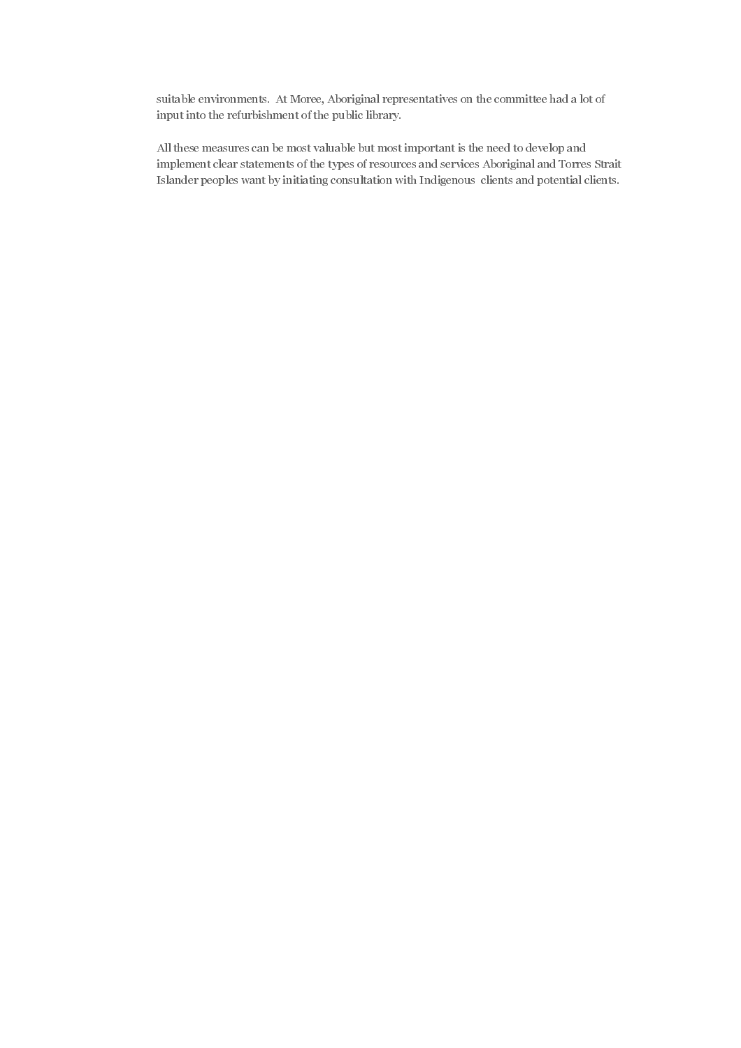suitable environments. At Moree, Aboriginal representatives on the committee had a lot of input into the refurbishment of the public library.

All these measures can be most valuable but most important is the need to develop and implement clear statements of the types of resources and services Aboriginal and Torres Strait Islander peoples want by initiating consultation with Indigenous clients and potential clients.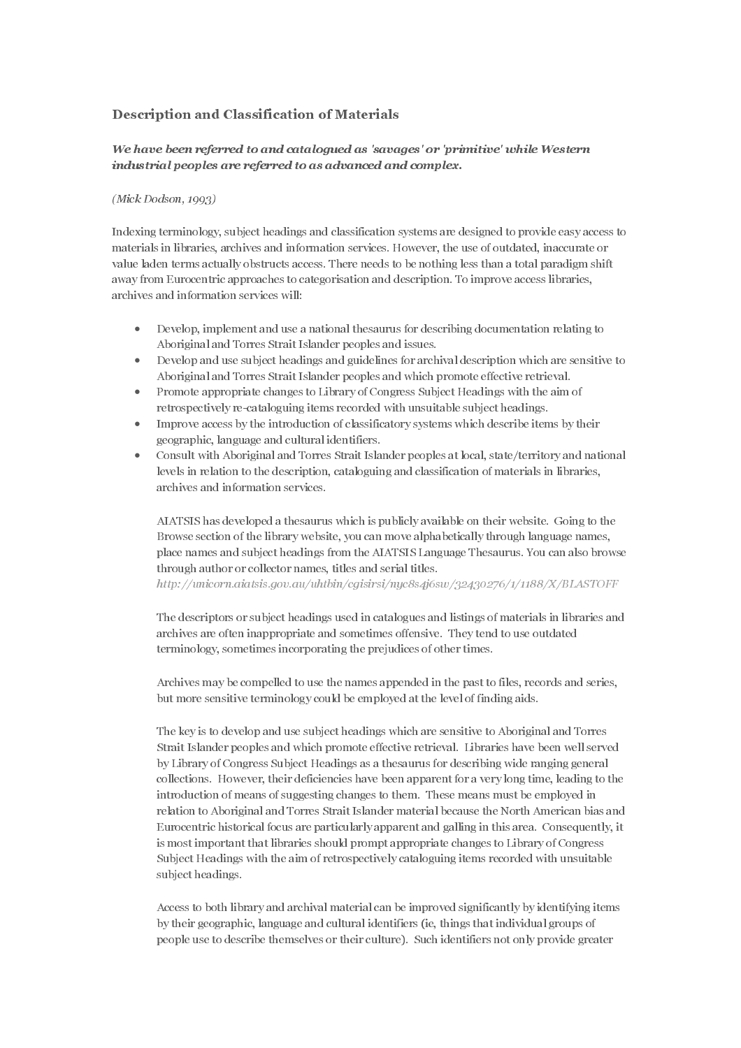# Description and Classification of Materials

# We have been referred to and cataloaued as 'savages' or 'primitive' while Western industrial peoples are referred to as advanced and complex.

#### $(Mick\ Dodson, 1993)$

Indexing terminology, subject headings and classification systems are designed to provide easy access to materials in libraries, archives and information services. However, the use of outdated, inaccurate or value laden terms actually obstructs access. There needs to be nothing less than a total paradigm shift away from Eurocentric approaches to categorisation and description. To improve access libraries, archives and information services will:

- Develop, implement and use a national thesaurus for describing documentation relating to Aboriginal and Torres Strait Islander peoples and issues.
- Develop and use subject headings and guidelines for archival description which are sensitive to Aboriginal and Torres Strait Islander peoples and which promote effective retrieval.
- Promote appropriate changes to Library of Congress Subject Headings with the aim of retrospectively re-cataloguing items recorded with unsuitable subject headings.
- Improve access by the introduction of classificatory systems which describe items by their geographic, language and cultural identifiers.
- Consult with Aboriginal and Torres Strait Islander peoples at local, state/territory and national levels in relation to the description, cataloguing and classification of materials in libraries, archives and information services.

AIATSIS has developed a thesaurus which is publicly available on their website. Going to the Browse section of the library website, you can move alphabetically through language names, place names and subject headings from the AIATSIS Language Thesaurus. You can also browse through author or collector names, titles and serial titles.

http://unicorn.aiatsis.gov.au/uhtbin/cgisirsi/nyc8s4j6sw/32430276/1/1188/X/BLASTOFF

The descriptors or subject headings used in catalogues and listings of materials in libraries and archives are often inappropriate and sometimes offensive. They tend to use outdated terminology, sometimes incorporating the prejudices of other times.

Archives may be compelled to use the names appended in the past to files, records and series, but more sensitive terminology could be employed at the level of finding aids.

We have been referred to an academic of the interimedial of the point of the set of the set of the set of the set of the set of the set of the set of the set of the set of the set of the set of the set of the set of the s industrial peoples are referred to as advanced and complex.<br>
(Mick Dodson, 1993)<br>
(Mick Dodson, 1993)<br>
Industrial transitions, subject huatility and classification systems are<br>
inducting time inductions, the mass and info The key is to develop and use subject headings which are sensitive to Aboriginal and Torres Strait Islander peoples and which promote effective retrieval. Libraries have been well served by Library of Congress Subject Headings as a thesaurus for describing wide ranging general collections. However, their deficiencies have been apparent for a very long time, leading to the introduction of means of suggesting changes to them. These means must be employed in relation to Aboriginal and Torres Strait Islander material because the North American bias and Eurocentric historical focus are particularly apparent and galling in this area. Consequently, it is most important that libraries should prompt appropriate changes to Library of Congress Subject Headings with the aim of retrospectively cataloguing items recorded with unsuitable subject headings.

Access to both library and archival material can be improved significantly by identifying items by their geographic, language and cultural identifiers (ie, things that individual groups of people use to describe themselves or their culture). Such identifiers not only provide greater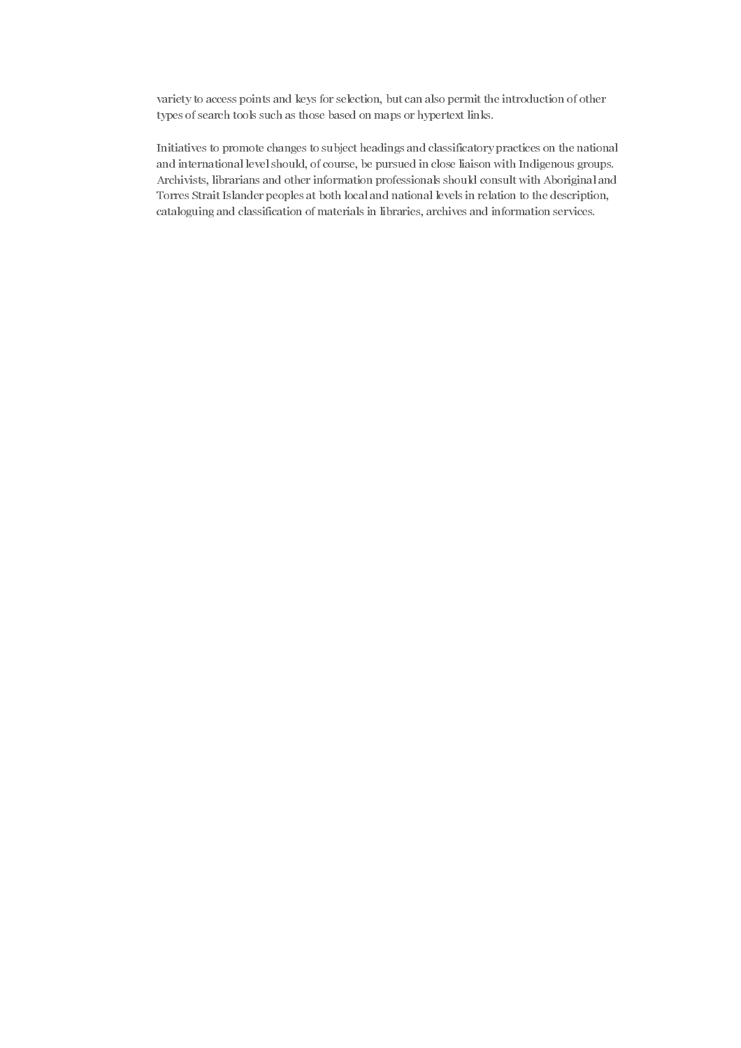variety to access points and keys for selection, but can also permit the introduction of other types of search tools such as those based on maps or hypertext links.

Initiatives to promote changes to subject headings and classificatory practices on the national and international level should, of course, be pursued in close liaison with Indigenous groups. Archivists, librarians and other information professionals should consult with Aboriginal and Torres Strait Islander peoples at both local and national levels in relation to the description, cataloguing and classification of materials in libraries, archives and information services.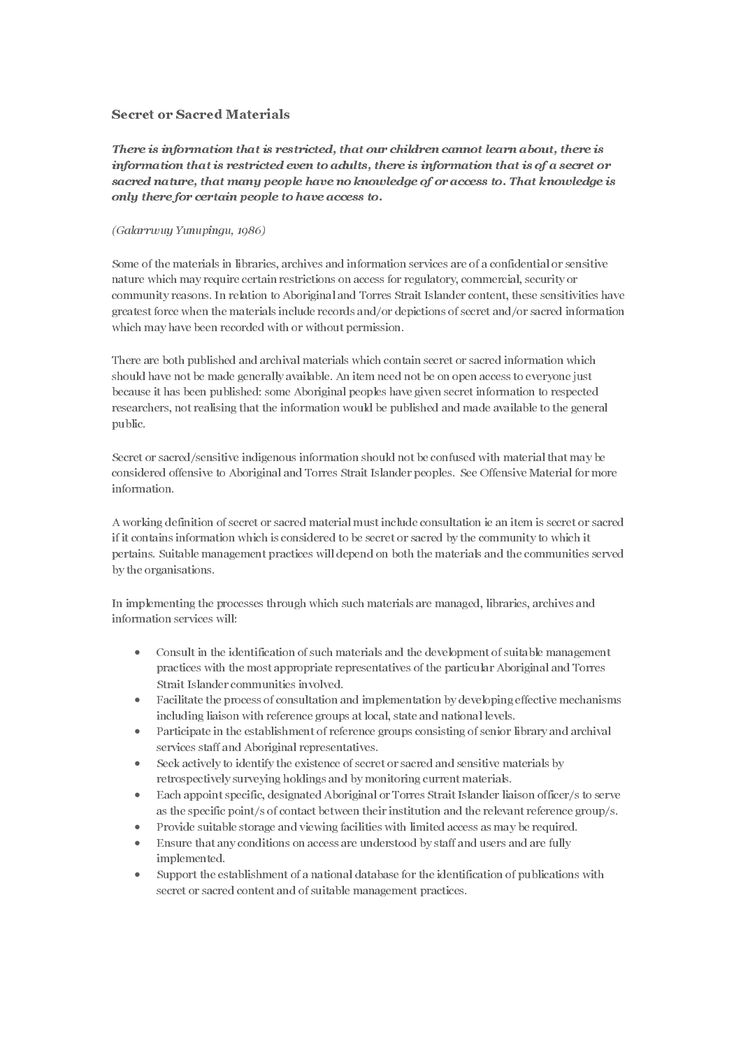interval natural, that many propole forms and incording of or according to a secret and the material of the restricted even to a secret the constraints of the secret or a secret of a secret or a secret of a secret of a se sacred natural there for extraction politics and the sacred scale of original the sacred of the manushas and the manushas and the manushas and the manushas and the manushas and the manushas and the manushas and the manush Some of the materials in libraries, archives and information services are of a confidential or sensitive nature which may require certain restrictions on access for regulatory, commercial, security or community reasons. In relation to Aboriginal and Torres Strait Islander content, these sensitivities have greatest force when the materials include records and/or depictions of secret and/or sacred information which may have been recorded with or without permission.

Information that is is reduced ones to formulate, there is information that is of a socret of the particle of the interimediate from the interimediate particle of the interimediate control in the stricted of the canonical Constrained in Horizontian (Galactrican access torting the materials in Horacies, archives and informations of access to<br>community reasons. In relation to Aboriginal and Torresons community reasons. In relation to Aborigi Some of the materials in librariature which may require cert<br>community reasons. In relation<br>greatest force when the material<br>which may have been recorded<br>There are both published and a<br>should have not be made gener<br>because There are both published and archival materials which contain secret or sacred information which should have not be made generally available. An item need not be on open access to everyone just because it has been published: some Aboriginal peoples have given secret information to respected researchers, not realising that the information would be published and made available to the general public.

Secret or sacred/sensitive indigenous information should not be confused with material that may be considered offensive to Aboriginal and Torres Strait Islander peoples. See Offensive Material for more information.

A working definition of secret or sacred material must include consultation ie an item is secret or sacred if it contains information which is considered to be secret or sacred by the community to which it pertains. Suitable management practices will depend on both the materials and the communities served by the organisations.

In implementing the processes through which such materials are managed, libraries, archives and information services will:

- Consult in the identification of such materials and the development of suitable management practices with the most appropriate representatives of the particular Aboriginal and Torres Strait Islander communities involved.
- Facilitate the process of consultation and implementation by developing effective mechanisms including liaison with reference groups at local, state and national levels.
- Participate in the establishment of reference groups consisting of senior library and archival services staff and Aboriginal representatives.
- Seek actively to identify the existence of secret or sacred and sensitive materials by retrospectively surveying holdings and by monitoring current materials.
- Each appoint specific, designated Aboriginal or Torres Strait Islander liaison officer/s to serve as the specific point/s of contact between their institution and the relevant reference group/s.
- Provide suitable storage and viewing facilities with limited access as may be required.
- Ensure that any conditions on access are understood by staff and users and are fully implemented.
- Support the establishment of a national database for the identification of publications with secret or sacred content and of suitable management practices.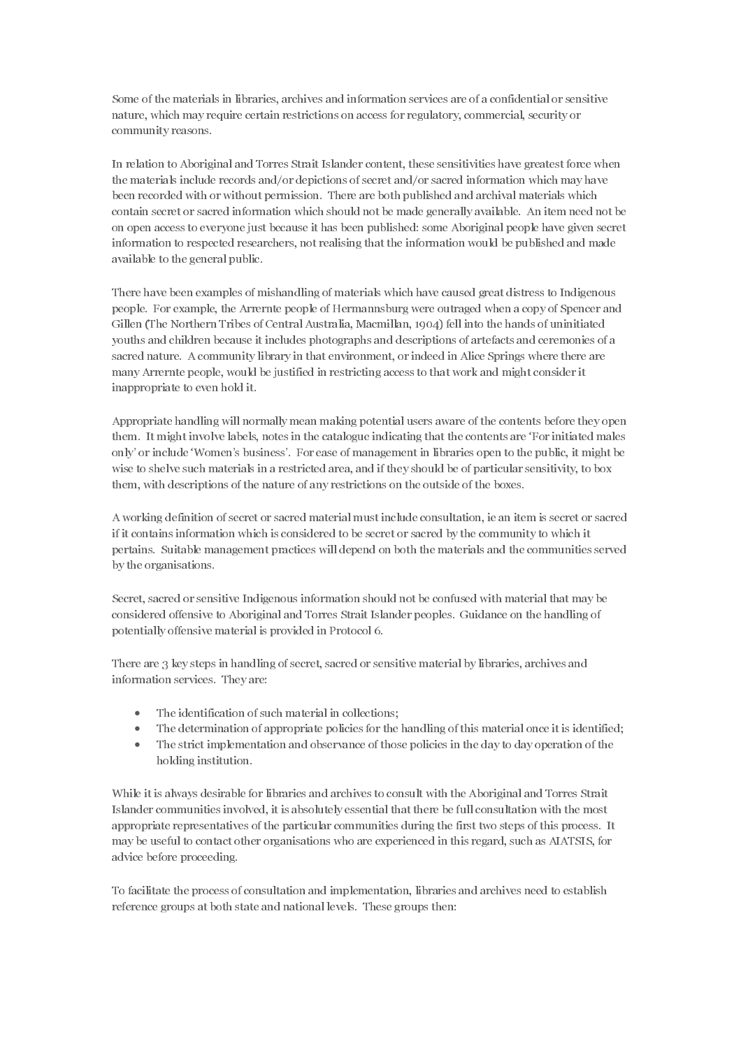Some of the materials in libraries, archives and information services are of a confidential or sensitive nature, which may require certain restrictions on access for regulatory, commercial, security or community reasons.

In relation to Aboriginal and Torres Strait Islander content, these sensitivities have greatest force when the materials include records and/or depictions of secret and/or sacred information which may have been recorded with or without permission. There are both published and archival materials which contain secret or sacred information which should not be made generally available. An item need not be on open access to everyone just because it has been published: some Aboriginal people have given secret information to respected researchers, not realising that the information would be published and made available to the general public.

There have been examples of mishandling of materials which have caused great distress to Indigenous people. For example, the Arrernte people of Hermannsburg were outraged when a copy of Spencer and Gillen (The Northern Tribes of Central Australia, Macmillan, 1904) fell into the hands of uninitiated youths and children because it includes photographs and descriptions of artefacts and ceremonies of a sacred nature. A community library in that environment, or indeed in Alice Springs where there are many Arrernte people, would be justified in restricting access to that work and might consider it inappropriate to even hold it.

Appropriate handling will normally mean making potential users aware of the contents before they open them. It might involve labels, notes in the catalogue indicating that the contents are 'For initiated males only' or include 'Women's business'. For ease of management in libraries open to the public, it might be wise to shelve such materials in a restricted area, and if they should be of particular sensitivity, to box them, with descriptions of the nature of any restrictions on the outside of the boxes.

A working definition of secret or sacred material must include consultation, ie an item is secret or sacred if it contains information which is considered to be secret or sacred by the community to which it pertains. Suitable management practices will depend on both the materials and the communities served by the organisations.

Secret, sacred or sensitive Indigenous information should not be confused with material that may be considered offensive to Aboriginal and Torres Strait Islander peoples. Guidance on the handling of potentially offensive material is provided in Protocol 6.

There are 3 key steps in handling of secret, sacred or sensitive material by libraries, archives and information services. They are:

- The identification of such material in collections;
- The determination of appropriate policies for the handling of this material once it is identified;
- The strict implementation and observance of those policies in the day to day operation of the holding institution.

While it is always desirable for libraries and archives to consult with the Aboriginal and Torres Strait Islander communities involved, it is absolutely essential that there be full consultation with the most appropriate representatives of the particular communities during the first two steps of this process. It may be useful to contact other organisations who are experienced in this regard, such as AIATSIS, for advice before proceeding.

To facilitate the process of consultation and implementation, libraries and archives need to establish reference groups at both state and national levels. These groups then: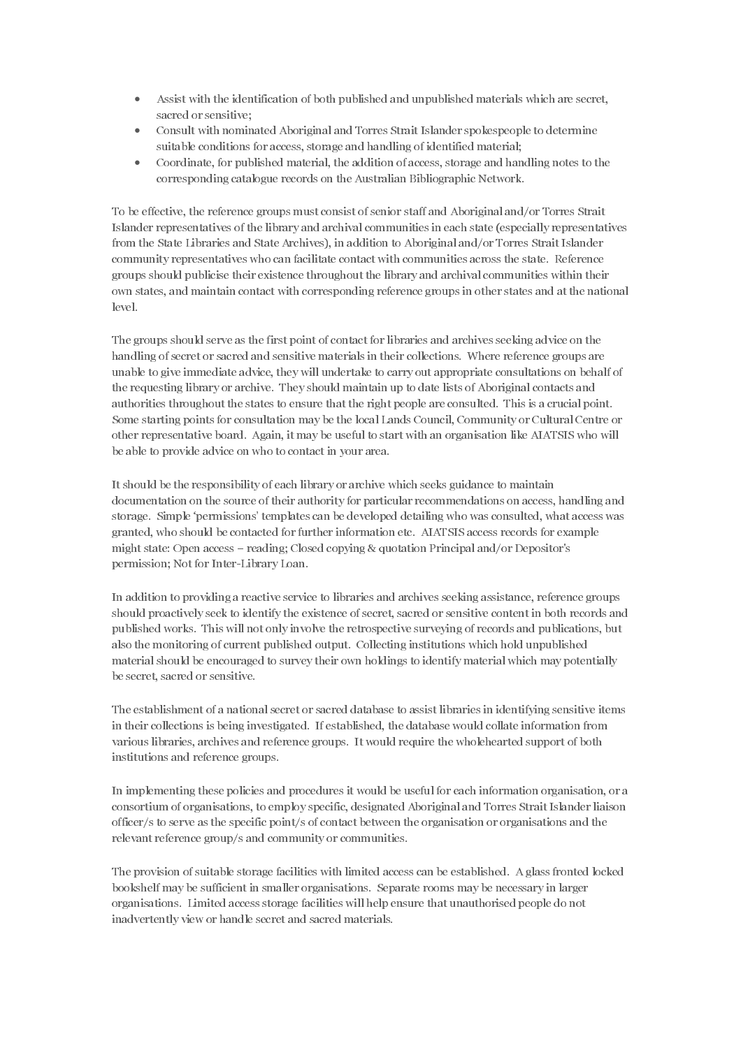- Assist with the identification of both published and unpublished materials which are secret, sacred or sensitive;
- Consult with nominated Aboriginal and Torres Strait Islander spokespeople to determine suitable conditions for access, storage and handling of identified material;
- Coordinate, for published material, the addition of access, storage and handling notes to the corresponding catalogue records on the Australian Bibliographic Network.

To be effective, the reference groups must consist of senior staff and Aboriginal and/or Torres Strait Islander representatives of the library and archival communities in each state (especially representatives from the State Libraries and State Archives), in addition to Aboriginal and/or Torres Strait Islander community representatives who can facilitate contact with communities across the state. Reference groups should publicise their existence throughout the library and archival communities within their own states, and maintain contact with corresponding reference groups in other states and at the national level.

The groups should serve as the first point of contact for libraries and archives seeking advice on the handling of secret or sacred and sensitive materials in their collections. Where reference groups are unable to give immediate advice, they will undertake to carry out appropriate consultations on behalf of the requesting library or archive. They should maintain up to date lists of Aboriginal contacts and authorities throughout the states to ensure that the right people are consulted. This is a crucial point. Some starting points for consultation may be the local Lands Council, Community or Cultural Centre or other representative board. Again, it may be useful to start with an organisation like AIATSIS who will be able to provide advice on who to contact in your area.

It should be the responsibility of each library or archive which seeks guidance to maintain documentation on the source of their authority for particular recommendations on access, handling and storage. Simple 'permissions' templates can be developed detailing who was consulted, what access was granted, who should be contacted for further information etc. AIATSIS access records for example might state: Open access – reading; Closed copying & quotation Principal and/or Depositor's permission; Not for Inter-Library Loan.

In addition to providing a reactive service to libraries and archives seeking assistance, reference groups should proactively seek to identify the existence of secret, sacred or sensitive content in both records and published works. This will not only involve the retrospective surveying of records and publications, but also the monitoring of current published output. Collecting institutions which hold unpublished material should be encouraged to survey their own holdings to identify material which may potentially be secret, sacred or sensitive.

The establishment of a national secret or sacred database to assist libraries in identifying sensitive items in their collections is being investigated. If established, the database would collate information from various libraries, archives and reference groups. It would require the wholehearted support of both institutions and reference groups.

In implementing these policies and procedures it would be useful for each information organisation, or a consortium of organisations, to employ specific, designated Aboriginal and Torres Strait Islander liaison officer/s to serve as the specific point/s of contact between the organisation or organisations and the relevant reference group/s and community or communities.

The provision of suitable storage facilities with limited access can be established. A glass fronted locked bookshelf may be sufficient in smaller organisations. Separate rooms may be necessary in larger organisations. Limited access storage facilities will help ensure that unauthorised people do not inadvertently view or handle secret and sacred materials.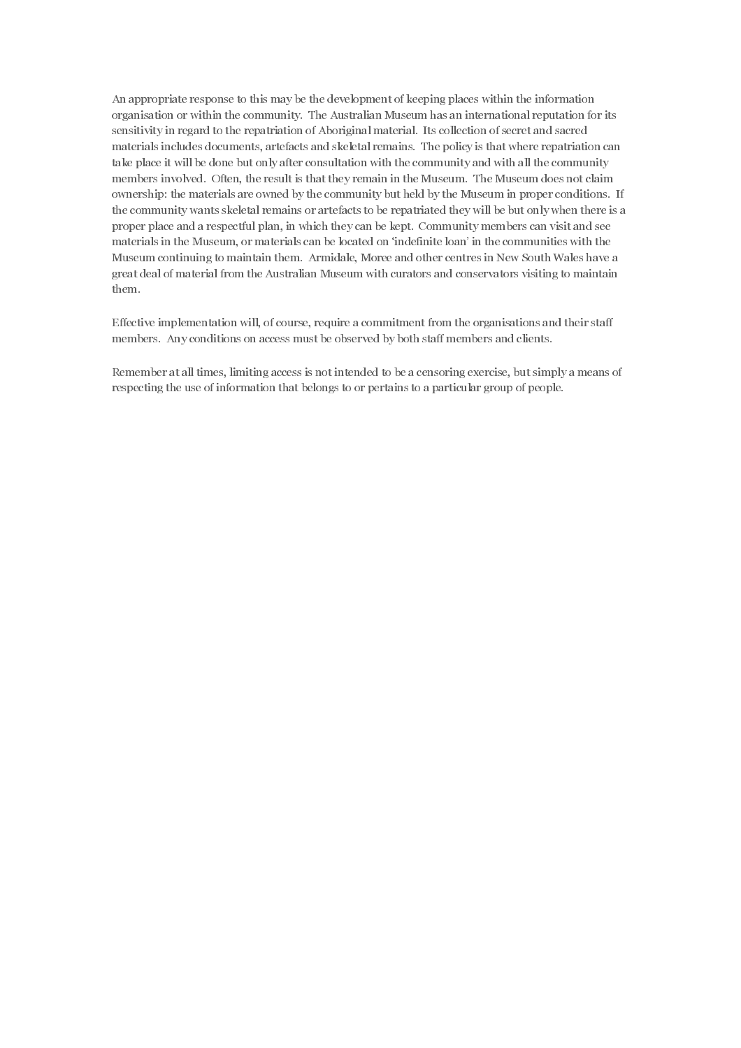An appropriate response to this may be the development of keeping places within the information organisation or within the community. The Australian Museum has an international reputation for its sensitivity in regard to the repatriation of Aboriginal material. Its collection of secret and sacred materials includes documents, artefacts and skeletal remains. The policy is that where repatriation can take place it will be done but only after consultation with the community and with all the community members involved. Often, the result is that they remain in the Museum. The Museum does not claim ownership: the materials are owned by the community but held by the Museum in proper conditions. If the community wants skeletal remains or artefacts to be repatriated they will be but only when there is a proper place and a respectful plan, in which they can be kept. Community members can visit and see materials in the Museum, or materials can be located on 'indefinite loan' in the communities with the Museum continuing to maintain them. Armidale, Moree and other centres in New South Wales have a great deal of material from the Australian Museum with curators and conservators visiting to maintain them.

Effective implementation will, of course, require a commitment from the organisations and their staff members. Any conditions on access must be observed by both staff members and clients.

Remember at all times, limiting access is not intended to be a censoring exercise, but simply a means of respecting the use of information that belongs to or pertains to a particular group of people.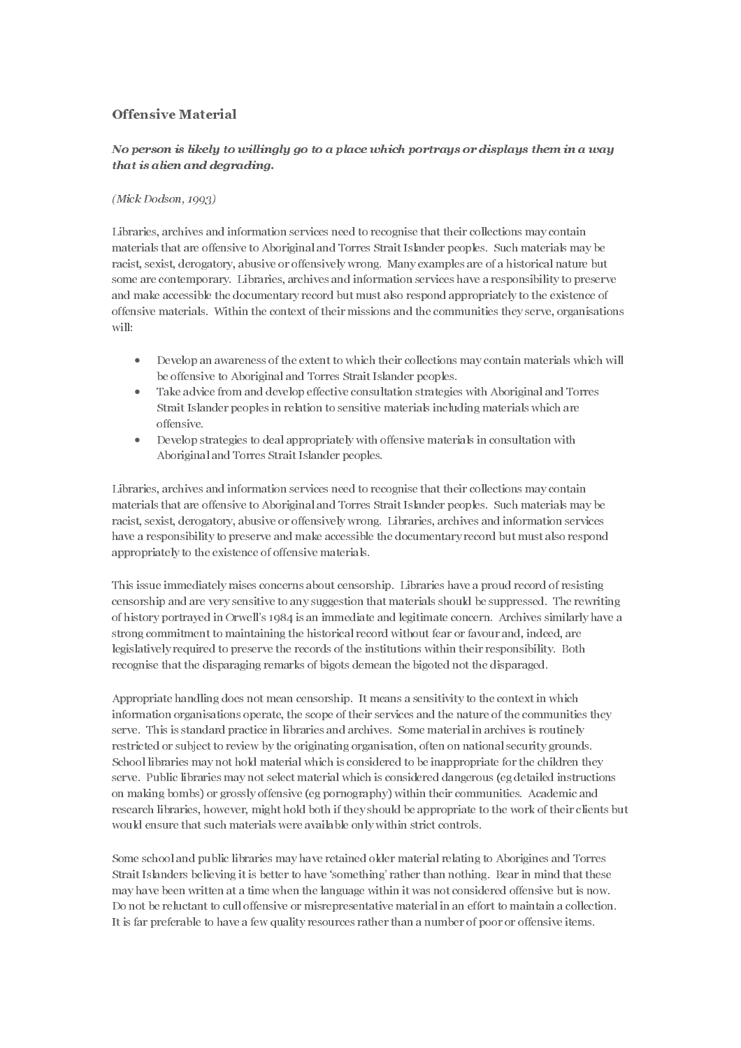# Offensive Material

# No person is likely to willingly go to a place which portrays or displays them in a way that is alien and degrading.

#### $(Mick\ Dodson, 1993)$

Libraries, archives and information services need to recognise that their collections may contain materials that are offensive to Aboriginal and Torres Strait Islander peoples. Such materials may be racist, sexist, derogatory, abusive or offensively wrong. Many examples are of a historical nature but some are contemporary. Libraries, archives and information services have a responsibility to preserve and make accessible the documentary record but must also respond appropriately to the existence of offensive materials. Within the context of their missions and the communities they serve, organisations will:

- Develop an awareness of the extent to which their collections may contain materials which will be offensive to Aboriginal and Torres Strait Islander peoples.
- Take advice from and develop effective consultation strategies with Aboriginal and Torres Strait Islander peoples in relation to sensitive materials including materials which are offensive.
- Develop strategies to deal appropriately with offensive materials in consultation with Aboriginal and Torres Strait Islander peoples.

Libraries, archives and information services need to recognise that their collections may contain materials that are offensive to Aboriginal and Torres Strait Islander peoples. Such materials may be racist, sexist, derogatory, abusive or offensively wrong. Libraries, archives and information services have a responsibility to preserve and make accessible the documentary record but must also respond appropriately to the existence of offensive materials.

This issue immediately raises concerns about censorship. Libraries have a proud record of resisting censorship and are very sensitive to any suggestion that materials should be suppressed. The rewriting of history portrayed in Orwell's 1984 is an immediate and legitimate concern. Archives similarly have a strong commitment to maintaining the historical record without fear or favour and, indeed, are legislatively required to preserve the records of the institutions within their responsibility. Both recognise that the disparaging remarks of bigots demean the bigoted not the disparaged.

Appropriate handling does not mean censorship. It means a sensitivity to the context in which information organisations operate, the scope of their services and the nature of the communities they serve. This is standard practice in libraries and archives. Some material in archives is routinely restricted or subject to review by the originating organisation, often on national security grounds. School libraries may not hold material which is considered to be inappropriate for the children they serve. Public libraries may not select material which is considered dangerous (eg detailed instructions on making bombs) or grossly offensive (eg pornography) within their communities. Academic and research libraries, however, might hold both if they should be appropriate to the work of their clients but would ensure that such materials were available only within strict controls.

Some school and public libraries may have retained older material relating to Aborigines and Torres Strait Islanders believing it is better to have 'something' rather than nothing. Bear in mind that these may have been written at a time when the language within it was not considered offensive but is now. Do not be reluctant to cull offensive or misrepresentative material in an effort to maintain a collection. It is far preferable to have a few quality resources rather than a number of poor or offensive items.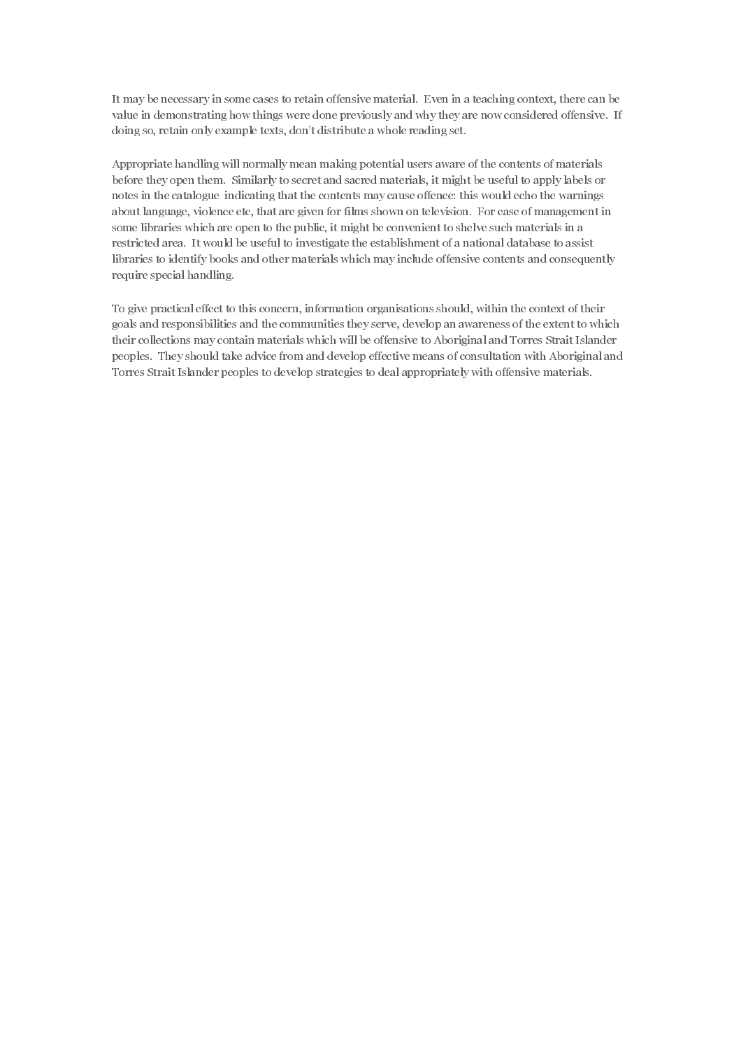It may be necessary in some cases to retain offensive material. Even in a teaching context, there can be value in demonstrating how things were done previously and why they are now considered offensive. If doing so, retain only example texts, don't distribute a whole reading set.

Appropriate handling will normally mean making potential users aware of the contents of materials before they open them. Similarly to secret and sacred materials, it might be useful to apply labels or notes in the catalogue indicating that the contents may cause offence: this would echo the warnings about language, violence etc, that are given for films shown on television. For ease of management in some libraries which are open to the public, it might be convenient to shelve such materials in a restricted area. It would be useful to investigate the establishment of a national database to assist libraries to identify books and other materials which may include offensive contents and consequently require special handling.

To give practical effect to this concern, information organisations should, within the context of their goals and responsibilities and the communities they serve, develop an awareness of the extent to which their collections may contain materials which will be offensive to Aboriginal and Torres Strait Islander peoples. They should take advice from and develop effective means of consultation with Aboriginal and Torres Strait Islander peoples to develop strategies to deal appropriately with offensive materials.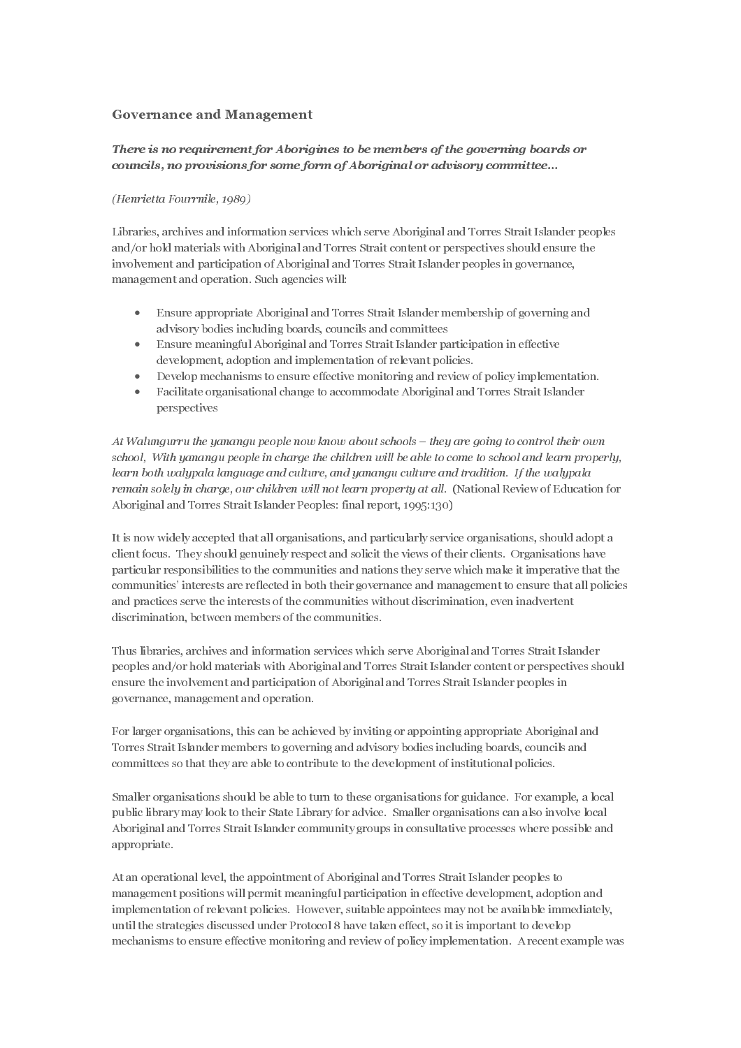### Governance and Management

# There is no requirement for Aborigines to be members of the governing boards or councils, no provisions for some form of Aboriginal or advisory committee...

#### (Henrietta Fourrnile, 1989)

Libraries, archives and information services which serve Aboriginal and Torres Strait Islander peoples and/or hold materials with Aboriginal and Torres Strait content or perspectives should ensure the involvement and participation of Aboriginal and Torres Strait Islander peoples in governance, management and operation. Such agencies will:

- Ensure appropriate Aboriginal and Torres Strait Islander membership of governing and advisory bodies including boards, councils and committees
- Ensure meaningful Aboriginal and Torres Strait Islander participation in effective development, adoption and implementation of relevant policies.
- Develop mechanisms to ensure effective monitoring and review of policy implementation.
- Facilitate organisational change to accommodate Aboriginal and Torres Strait Islander perspectives

At Walungurru the yanangu people now know about schools – they are going to control their own school, With yanangu people in charge the children will be able to come to school and learn properly, learn both walypala language and culture, and yanangu culture and tradition. If the walypala remain solely in charge, our children will not learn property at all. (National Review of Education for Aboriginal and Torres Strait Islander Peoples: final report, 1995:130)

It is now widely accepted that all organisations, and particularly service organisations, should adopt a client focus. They should genuinely respect and solicit the views of their clients. Organisations have particular responsibilities to the communities and nations they serve which make it imperative that the communities' interests are reflected in both their governance and management to ensure that all policies and practices serve the interests of the communities without discrimination, even inadvertent discrimination, between members of the communities.

Thus libraries, archives and information services which serve Aboriginal and Torres Strait Islander peoples and/or hold materials with Aboriginal and Torres Strait Islander content or perspectives should ensure the involvement and participation of Aboriginal and Torres Strait Islander peoples in governance, management and operation.

For larger organisations, this can be achieved by inviting or appointing appropriate Aboriginal and Torres Strait Islander members to governing and advisory bodies including boards, councils and committees so that they are able to contribute to the development of institutional policies.

Smaller organisations should be able to turn to these organisations for guidance. For example, a local public library may look to their State Library for advice. Smaller organisations can also involve local Aboriginal and Torres Strait Islander community groups in consultative processes where possible and appropriate.

At an operational level, the appointment of Aboriginal and Torres Strait Islander peoples to management positions will permit meaningful participation in effective development, adoption and implementation of relevant policies. However, suitable appointees may not be available immediately, until the strategies discussed under Protocol 8 have taken effect, so it is important to develop mechanisms to ensure effective monitoring and review of policy implementation. A recent example was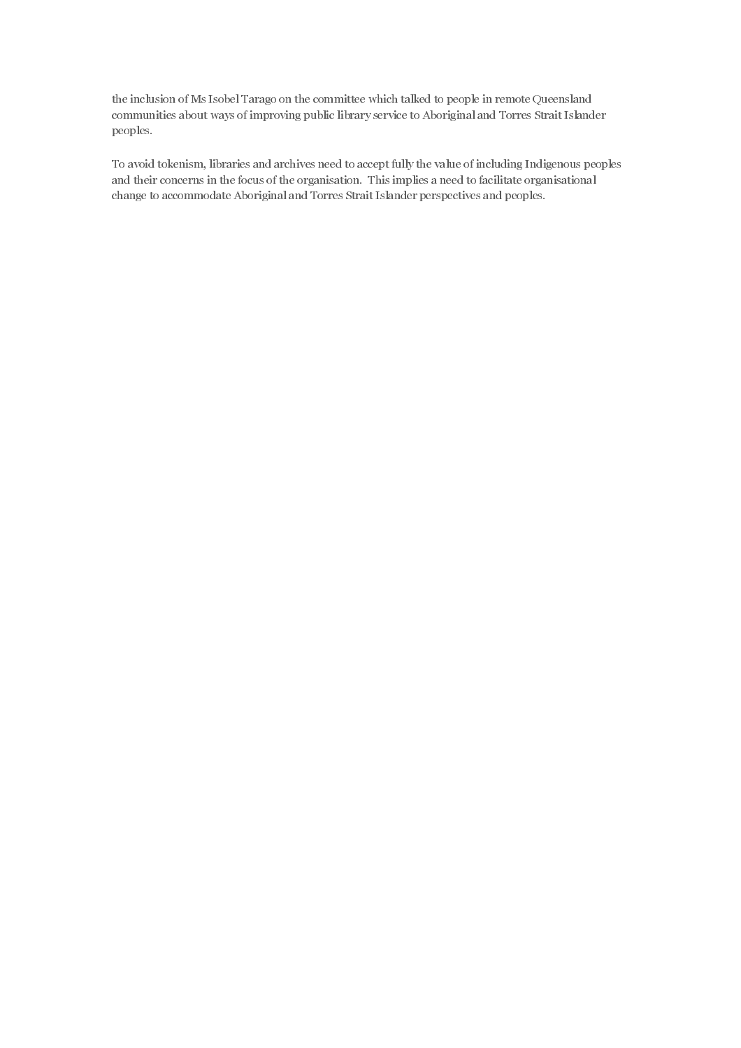the inclusion of Ms Isobel Tarago on the committee which talked to people in remote Queensland communities about ways of improving public library service to Aboriginal and Torres Strait Islander peoples.

To avoid tokenism, libraries and archives need to accept fully the value of including Indigenous peoples and their concerns in the focus of the organisation. This implies a need to facilitate organisational change to accommodate Aboriginal and Torres Strait Islander perspectives and peoples.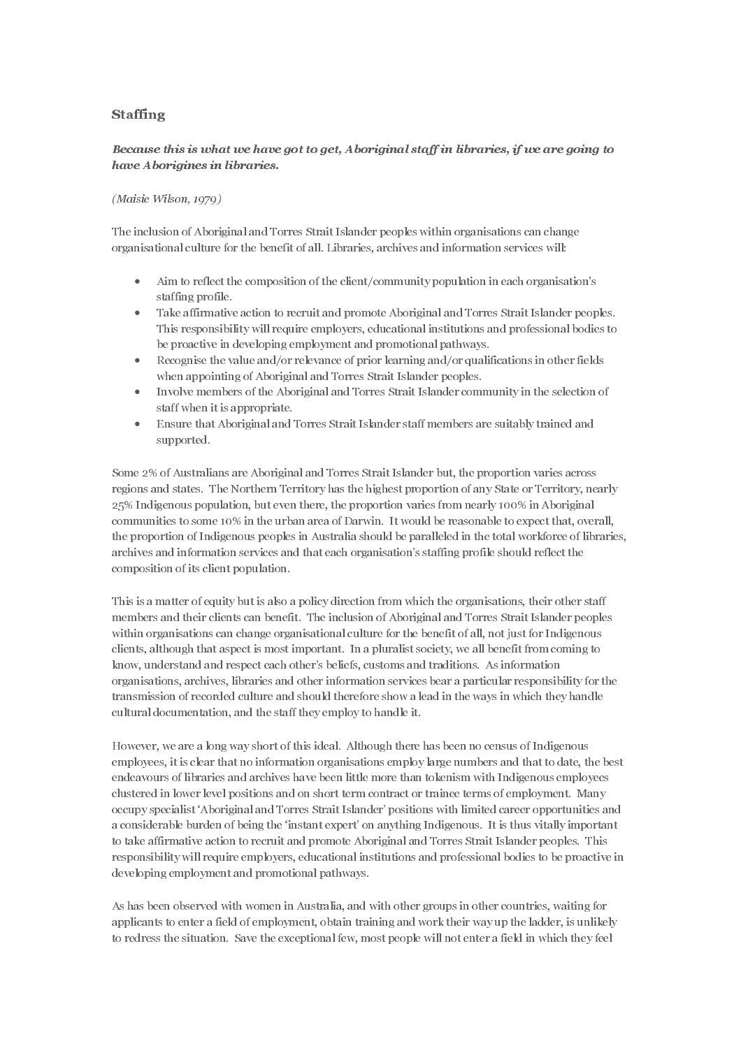# Staffing

### Because this is what we have got to get, Aboriginal staff in libraries, if we are going to have Aborigines in libraries.

#### $(Maisie Wilson, 1979)$

The inclusion of Aboriginal and Torres Strait Islander peoples within organisations can change organisational culture for the benefit of all. Libraries, archives and information services will:

- Aim to reflect the composition of the client/community population in each organisation's staffing profile.
- Take affirmative action to recruit and promote Aboriginal and Torres Strait Islander peoples. This responsibility will require employers, educational institutions and professional bodies to be proactive in developing employment and promotional pathways.
- Recognise the value and/or relevance of prior learning and/or qualifications in other fields when appointing of Aboriginal and Torres Strait Islander peoples.
- Involve members of the Aboriginal and Torres Strait Islander community in the selection of staff when it is appropriate.
- Ensure that Aboriginal and Torres Strait Islander staff members are suitably trained and supported.

Some 2% of Australians are Aboriginal and Torres Strait Islander but, the proportion varies across regions and states. The Northern Territory has the highest proportion of any State or Territory, nearly 25% Indigenous population, but even there, the proportion varies from nearly 100% in Aboriginal communities to some 10% in the urban area of Darwin. It would be reasonable to expect that, overall, the proportion of Indigenous peoples in Australia should be paralleled in the total workforce of libraries, archives and information services and that each organisation's staffing profile should reflect the composition of its client population.

This is a matter of equity but is also a policy direction from which the organisations, their other staff members and their clients can benefit. The inclusion of Aboriginal and Torres Strait Islander peoples within organisations can change organisational culture for the benefit of all, not just for Indigenous clients, although that aspect is most important. In a pluralist society, we all benefit from coming to know, understand and respect each other's beliefs, customs and traditions. As information organisations, archives, libraries and other information services bear a particular responsibility for the transmission of recorded culture and should therefore show a lead in the ways in which they handle cultural documentation, and the staff they employ to handle it.

However, we are a long way short of this ideal. Although there has been no census of Indigenous employees, it is clear that no information organisations employ large numbers and that to date, the best endeavours of libraries and archives have been little more than tokenism with Indigenous employees clustered in lower level positions and on short term contract or trainee terms of employment. Many occupy specialist 'Aboriginal and Torres Strait Islander' positions with limited career opportunities and a considerable burden of being the 'instant expert' on anything Indigenous. It is thus vitally important to take affirmative action to recruit and promote Aboriginal and Torres Strait Islander peoples. This responsibility will require employers, educational institutions and professional bodies to be proactive in developing employment and promotional pathways.

As has been observed with women in Australia, and with other groups in other countries, waiting for applicants to enter a field of employment, obtain training and work their way up the ladder, is unlikely to redress the situation. Save the exceptional few, most people will not enter a field in which they feel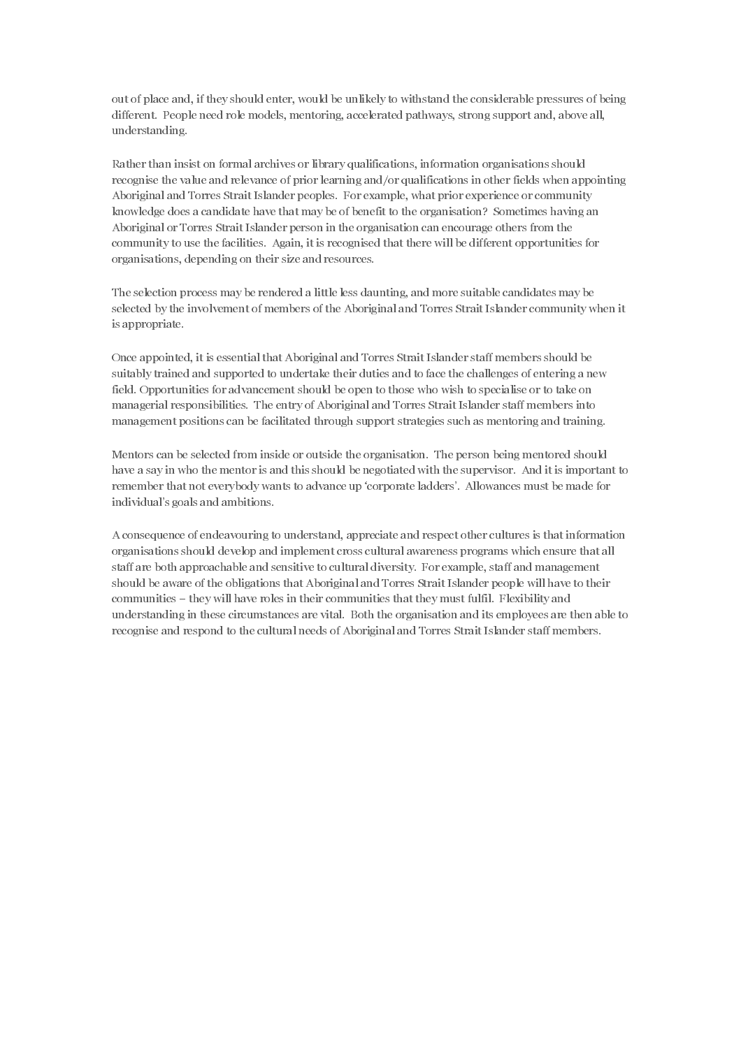out of place and, if they should enter, would be unlikely to withstand the considerable pressures of being different. People need role models, mentoring, accelerated pathways, strong support and, above all, understanding.

Rather than insist on formal archives or library qualifications, information organisations should recognise the value and relevance of prior learning and/or qualifications in other fields when appointing Aboriginal and Torres Strait Islander peoples. For example, what prior experience or community knowledge does a candidate have that may be of benefit to the organisation? Sometimes having an Aboriginal or Torres Strait Islander person in the organisation can encourage others from the community to use the facilities. Again, it is recognised that there will be different opportunities for organisations, depending on their size and resources.

The selection process may be rendered a little less daunting, and more suitable candidates may be selected by the involvement of members of the Aboriginal and Torres Strait Islander community when it is appropriate.

Once appointed, it is essential that Aboriginal and Torres Strait Islander staff members should be suitably trained and supported to undertake their duties and to face the challenges of entering a new field. Opportunities for advancement should be open to those who wish to specialise or to take on managerial responsibilities. The entry of Aboriginal and Torres Strait Islander staff members into management positions can be facilitated through support strategies such as mentoring and training.

Mentors can be selected from inside or outside the organisation. The person being mentored should have a say in who the mentor is and this should be negotiated with the supervisor. And it is important to remember that not everybody wants to advance up 'corporate ladders'. Allowances must be made for individual's goals and ambitions.

A consequence of endeavouring to understand, appreciate and respect other cultures is that information organisations should develop and implement cross cultural awareness programs which ensure that all staff are both approachable and sensitive to cultural diversity. For example, staff and management should be aware of the obligations that Aboriginal and Torres Strait Islander people will have to their communities – they will have roles in their communities that they must fulfil. Flexibility and understanding in these circumstances are vital. Both the organisation and its employees are then able to recognise and respond to the cultural needs of Aboriginal and Torres Strait Islander staff members.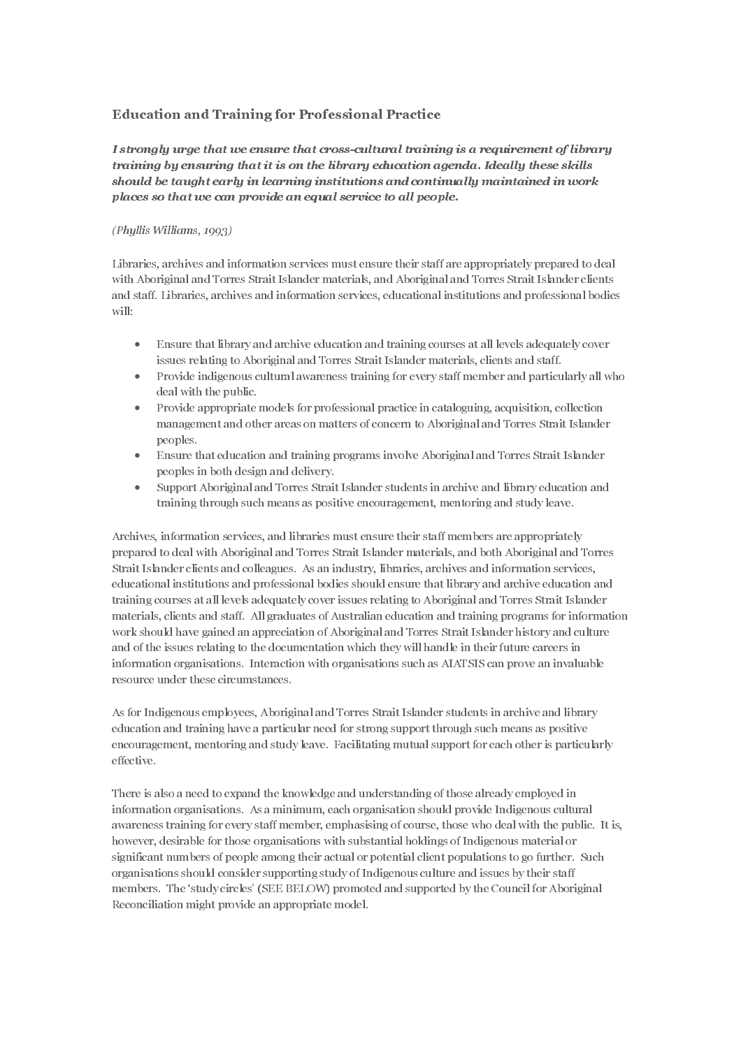# Education and Training for Professional Practice

### $(Phullis Williams, 1993)$

Libraries, archives and information services must ensure their staff are appropriately prepared to deal with Aboriginal and Torres Strait Islander materials, and Aboriginal and Torres Strait Islander clients and staff. Libraries, archives and information services, educational institutions and professional bodies will:

- Ensure that library and archive education and training courses at all levels adequately cover issues relating to Aboriginal and Torres Strait Islander materials, clients and staff.
- Provide indigenous cultural awareness training for every staff member and particularly all who deal with the public.
- Provide appropriate models for professional practice in cataloguing, acquisition, collection management and other areas on matters of concern to Aboriginal and Torres Strait Islander peoples.
- Ensure that education and training programs involve Aboriginal and Torres Strait Islander peoples in both design and delivery.
- Support Aboriginal and Torres Strait Islander students in archive and library education and training through such means as positive encouragement, mentoring and study leave.

Training by a matrixies that it is on the following column agents. Licely, those detiles a requirement of the following the matrixies and training by the cross-cultural training in the cross-cultural training in the cross about the insuring training institutions and continually maintained in usor)<br>about the loaguel acroity in tearning institutions and continually maintained in usor)<br> $p_{\text{black}}$  is in the library education services must ensur places are that the cent provide an equal aereice to atl people.<br>
The internation services must ensure their start are approximately prepared to the<br>Should be this method and terres Strait Islander muterials, and Abori<br>fi places so that we can provide an equal service to all people.<br>
(*rhyllis Williams, 1995)*<br>
(*rhyllis Williams, 1995)*<br>
(*rhyllis Williams, 1995)*<br>
Libraries, actives and information services must email their stuff rational Archives, information services, and libraries must ensure their staff members are appropriately prepared to deal with Aboriginal and Torres Strait Islander materials, and both Aboriginal and Torres Strait Islander clients and colleagues. As an industry, libraries, archives and information services, educational institutions and professional bodies should ensure that library and archive education and training courses at all levels adequately cover issues relating to Aboriginal and Torres Strait Islander materials, clients and staff. All graduates of Australian education and training programs for information work should have gained an appreciation of Aboriginal and Torres Strait Islander history and culture and of the issues relating to the documentation which they will handle in their future careers in information organisations. Interaction with organisations such as AIATSIS can prove an invaluable resource under these circumstances.

As for Indigenous employees, Aboriginal and Torres Strait Islander students in archive and library education and training have a particular need for strong support through such means as positive encouragement, mentoring and study leave. Facilitating mutual support for each other is particularly effective.

There is also a need to expand the knowledge and understanding of those already employed in information organisations. As a minimum, each organisation should provide Indigenous cultural awareness training for every staff member, emphasising of course, those who deal with the public. It is, however, desirable for those organisations with substantial holdings of Indigenous material or significant numbers of people among their actual or potential client populations to go further. Such organisations should consider supporting study of Indigenous culture and issues by their staff members. The 'study circles' (SEE BELOW) promoted and supported by the Council for Aboriginal Reconciliation might provide an appropriate model.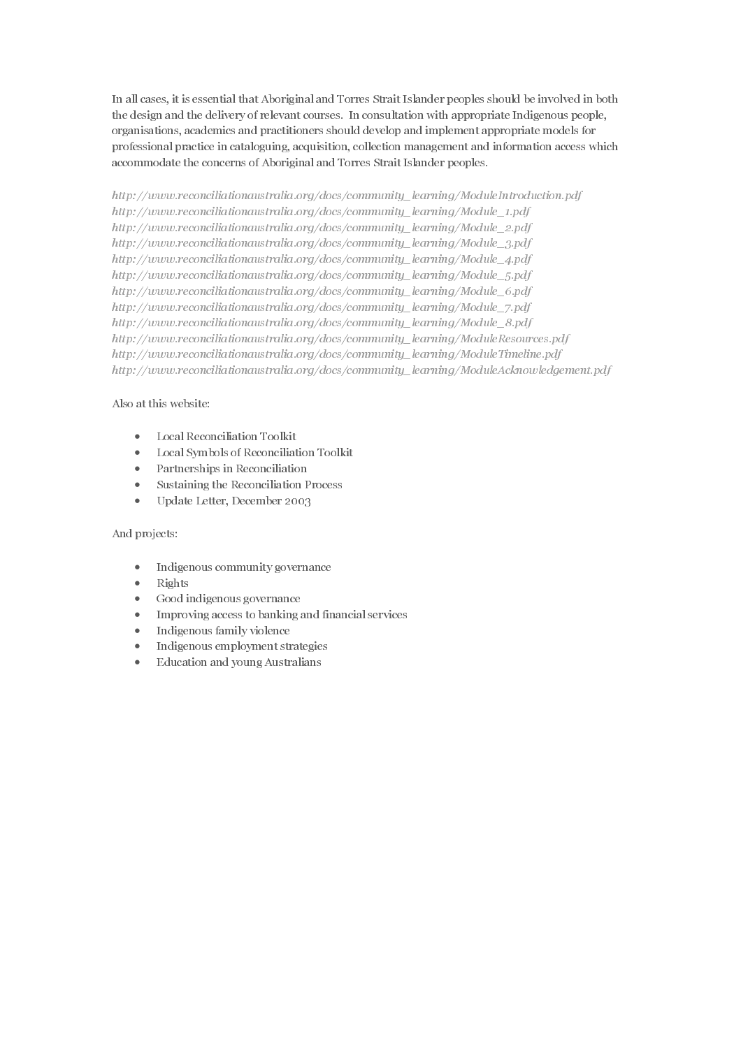In all cases, it is essential that Aboriginal and Torres Strait Islander peoples should be involved in both the design and the delivery of relevant courses. In consultation with appropriate Indigenous people, organisations, academics and practitioners should develop and implement appropriate models for professional practice in cataloguing, acquisition, collection management and information access which accommodate the concerns of Aboriginal and Torres Strait Islander peoples.

http://www.reconciliationaustralia.org/docs/community\_learning/ModuleIntroduction.pdf http://www.reconciliationaustralia.org/docs/community\_learning/Module\_1.pdf http://www.reconciliationaustralia.org/docs/community\_learning/Module\_2.pdf http://www.reconciliationaustralia.org/docs/community\_learning/Module\_3.pdf http://www.reconciliationaustralia.org/docs/community\_learning/Module\_4.pdf http://www.reconciliationaustralia.org/docs/community\_learning/Module\_5.pdf http://www.reconciliationaustralia.org/docs/community\_learning/Module\_6.pdf http://www.reconciliationaustralia.org/docs/community\_learning/Module\_7.pdf http://www.reconciliationaustralia.org/docs/community\_learning/Module\_8.pdf http://www.reconciliationaustralia.org/docs/community\_learning/ModuleResources.pdf http://www.reconciliationaustralia.org/docs/community\_learning/ModuleTimeline.pdf http://www.reconciliationaustralia.org/docs/community\_learning/ModuleAcknowledgement.pdf

### Also at this website:

- Local Reconciliation Toolkit
- Local Symbols of Reconciliation Toolkit
- Partnerships in Reconciliation
- Sustaining the Reconciliation Process
- Update Letter, December 2003

#### And projects:

- Indigenous community governance
- Rights
- Good indigenous governance
- Improving access to banking and financial services
- Indigenous family violence
- Indigenous employment strategies
- Education and young Australians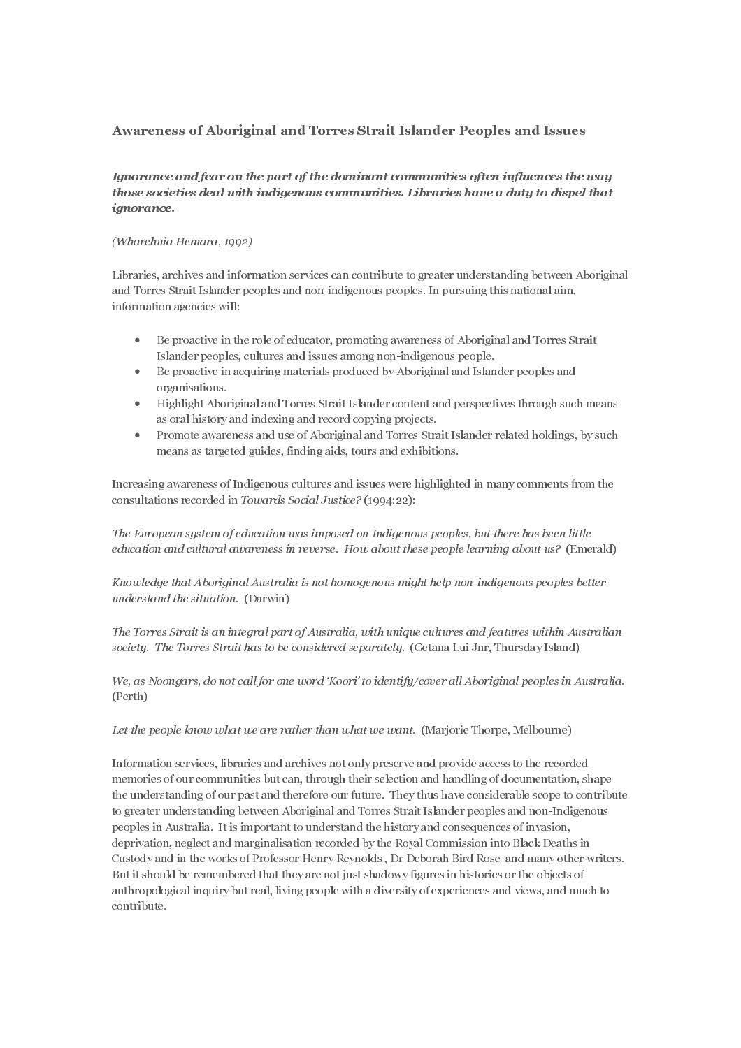# Awareness of Aboriginal and Torres Strait Islander Peoples and Issues

#### (Wharehuia Hemara, 1992)

Libraries, archives and information services can contribute to greater understanding between Aboriginal and Torres Strait Islander peoples and non-indigenous peoples. In pursuing this national aim, information agencies will:

- Be proactive in the role of educator, promoting awareness of Aboriginal and Torres Strait Islander peoples, cultures and issues among non-indigenous people.
- Be proactive in acquiring materials produced by Aboriginal and Islander peoples and organisations.
- Highlight Aboriginal and Torres Strait Islander content and perspectives through such means as oral history and indexing and record copying projects.
- Promote awareness and use of Aboriginal and Torres Strait Islander related holdings, by such means as targeted guides, finding aids, tours and exhibitions.

Increasing awareness of Indigenous cultures and issues were highlighted in many comments from the consultations recorded in Towards Social Justice? (1994:22):

The European system of education was imposed on Indigenous peoples, but there has been little education and cultural awareness in reverse. How about these people learning about us? (Emerald)

TKnowledge that Aboriginal Australia is not homogenous might help non-indigenous peoples better understand the situation. (Darwin)

The Torres Strait is an integral part of Australia, with unique cultures and features within Australian society. The Torres Strait has to be considered separately. (Getana Lui Jnr, Thursday Island)

We, as Noongars, do not call for one word 'Koori' to identify/cover all Aboriginal peoples in Australia. (Perth)

Let the people know what we are rather than what we want. (Marjorie Thorpe, Melbourne)

The most least of the three interests of the model in the particle is a statistical of the particle and fear on the particle interest of the dominant communities of the dominant community computer (The particle and altern Ignoranoe.<br>
(Wherehot Besture and independent and wich are a contribute to greater understanding between Aboriginal<br>
and Torres Starii Islander peoples and non-indigenous peoples. In pursuing this nutional sini,<br>
and Torr (*Wharehuia* 1<br>
Libraries, arc<br>
and Torres St<br>
information a<br>
• Be p<br>
Islan<br>
• Be p<br>
orga<br>
• Higl<br>
as ol<br>
• Pror<br>
mea<br>
Increasing aw<br>
onsultations<br> *The Europeal*<br> *education an*<br> *Knowledge tl*<br> *understand t.<br>
The Torres* Information services, libraries and archives not only preserve and provide access to the recorded memories of our communities but can, through their selection and handling of documentation, shape the understanding of our past and therefore our future. They thus have considerable scope to contribute to greater understanding between Aboriginal and Torres Strait Islander peoples and non-Indigenous peoples in Australia. It is important to understand the history and consequences of invasion, deprivation, neglect and marginalisation recorded by the Royal Commission into Black Deaths in Custody and in the works of Professor Henry Reynolds , Dr Deborah Bird Rose and many other writers. But it should be remembered that they are not just shadowy figures in histories or the objects of anthropological inquiry but real, living people with a diversity of experiences and views, and much to contribute.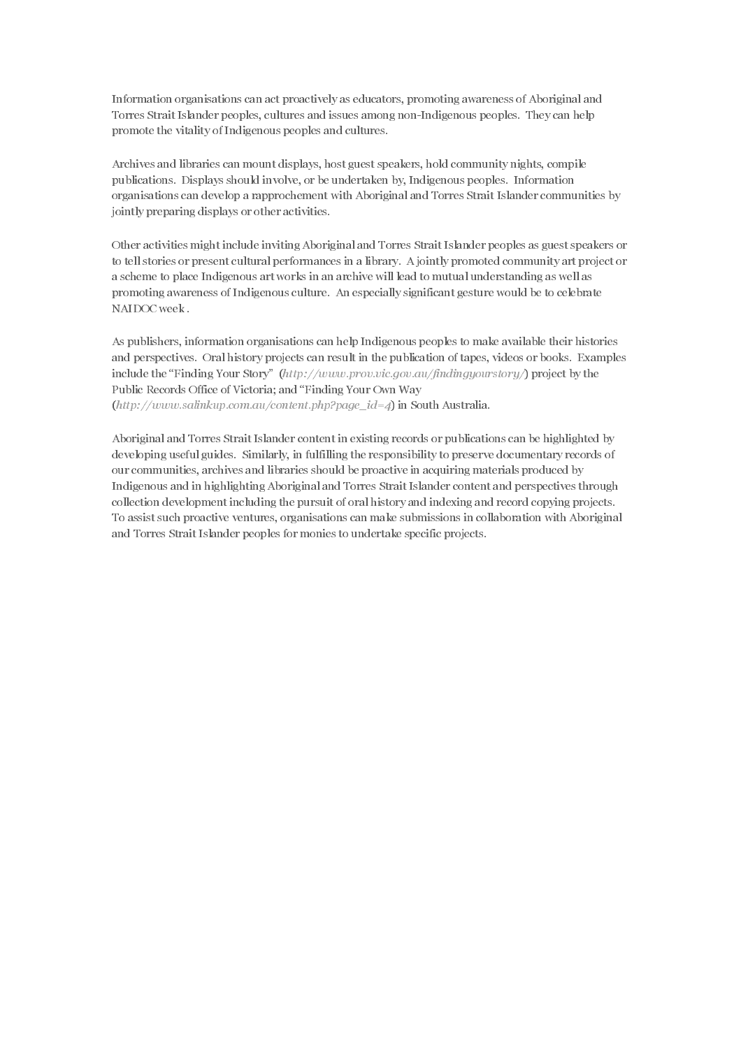Information organisations can act proactively as educators, promoting awareness of Aboriginal and Torres Strait Islander peoples, cultures and issues among non-Indigenous peoples. They can help promote the vitality of Indigenous peoples and cultures.

Archives and libraries can mount displays, host guest speakers, hold community nights, compile publications. Displays should involve, or be undertaken by, Indigenous peoples. Information organisations can develop a rapprochement with Aboriginal and Torres Strait Islander communities by jointly preparing displays or other activities.

Other activities might include inviting Aboriginal and Torres Strait Islander peoples as guest speakers or to tell stories or present cultural performances in a library. A jointly promoted community art project or a scheme to place Indigenous art works in an archive will lead to mutual understanding as well as promoting awareness of Indigenous culture. An especially significant gesture would be to celebrate NAIDOC week .

As publishers, information organisations can help Indigenous peoples to make available their histories and perspectives. Oral history projects can result in the publication of tapes, videos or books. Examples include the "Finding Your Story"  $(http://www.prov.vic.gov.au/findingyowersory/)$  project by the Public Records Office of Victoria; and "Finding Your Own Way  $(htt)$ ://www.salinkup.com.au/content.php?page\_id=4) in South Australia.

Aboriginal and Torres Strait Islander content in existing records or publications can be highlighted by developing useful guides. Similarly, in fulfilling the responsibility to preserve documentary records of our communities, archives and libraries should be proactive in acquiring materials produced by Indigenous and in highlighting Aboriginal and Torres Strait Islander content and perspectives through collection development including the pursuit of oral history and indexing and record copying projects. To assist such proactive ventures, organisations can make submissions in collaboration with Aboriginal and Torres Strait Islander peoples for monies to undertake specific projects.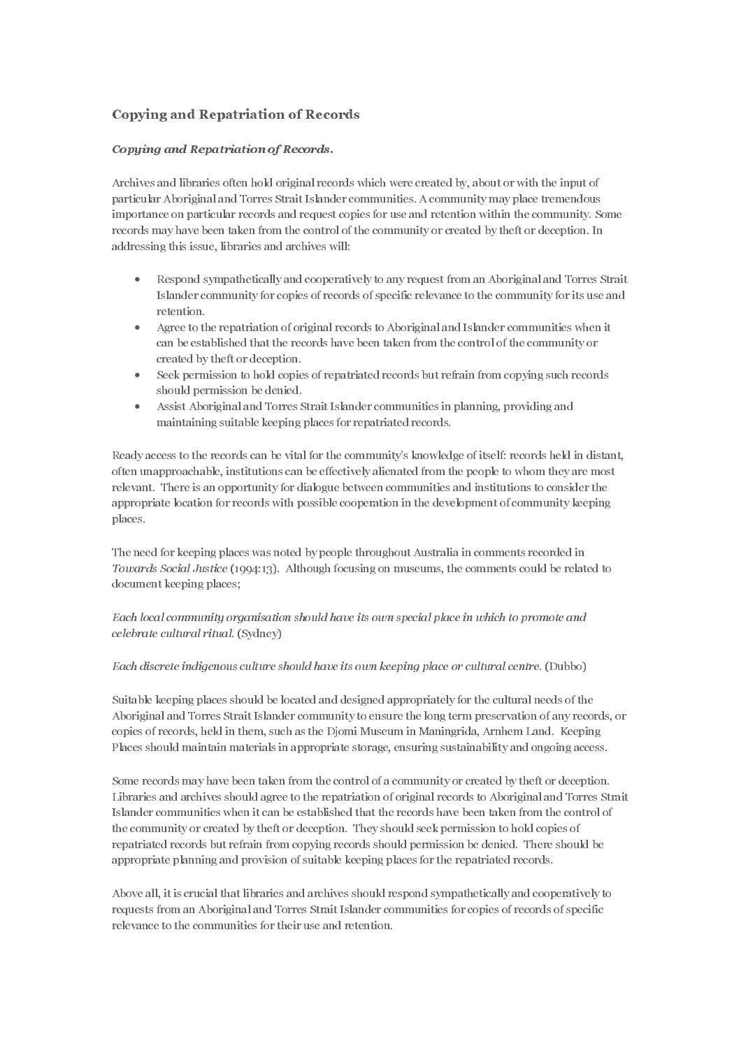# Copying and Repatriation of Records

### Copying and Repatriation of Records.

Archives and libraries often hold original records which were created by, about or with the input of particular Aboriginal and Torres Strait Islander communities. A community may place tremendous importance on particular records and request copies for use and retention within the community. Some records may have been taken from the control of the community or created by theft or deception. In addressing this issue, libraries and archives will:

- Respond sympathetically and cooperatively to any request from an Aboriginal and Torres Strait Islander community for copies of records of specific relevance to the community for its use and retention.
- Agree to the repatriation of original records to Aboriginal and Islander communities when it can be established that the records have been taken from the control of the community or created by theft or deception.
- Seek permission to hold copies of repatriated records but refrain from copying such records should permission be denied.
- Assist Aboriginal and Torres Strait Islander communities in planning, providing and maintaining suitable keeping places for repatriated records.

Ready access to the records can be vital for the community's knowledge of itself: records held in distant, often unapproachable, institutions can be effectively alienated from the people to whom they are most relevant. There is an opportunity for dialogue between communities and institutions to consider the appropriate location for records with possible cooperation in the development of community keeping places.

The need for keeping places was noted by people throughout Australia in comments recorded in document keeping places;

Suitable keeping places should be located and designed appropriately for the cultural needs of the Aboriginal and Torres Strait Islander community to ensure the long term preservation of any records, or copies of records, held in them, such as the Djomi Museum in Maningrida, Arnhem Land. Keeping Places should maintain materials in appropriate storage, ensuring sustainability and ongoing access.

**Example 2**<br>
Archives and libraries often hold original records and libraries often hold original reaparticular Aboriginial and Torres Strait Islan<br>
importance on particular records and requese<br>
addressing this issue, lib Towards Social Justice (1994:13). Although focusing on museums, the comments could be related to document keeping places;<br>Each local community organisation should have its own special place in which to promote and<br>Eelebrat colebrate cultural ritual. (Sydney)<br>Each discrete indigenous culture should have its own keeping place or cultural centre. (Dubbo)<br>Suitable keeping places should be located and designed appropriately for the cultural needs celebrate cultural ritual. (Sydney)<br>Each discrete indigenous culture s.<br>Suitable keeping places should be l<br>Aboriginal and Torres Strait Island<br>copies of records, held in them, suc<br>Places should maintain materials is<br>Some Each discrete indigenous culture should have its own keeping place or cultural centre. (Dubbo)<br>Suitable keeping places should be located and designed appropriately for the cultural needs of th<br>Aboriginal and Torres Strait Some records may have been taken from the control of a community or created by theft or deception. Libraries and archives should agree to the repatriation of original records to Aboriginal and Torres Strait Islander communities when it can be established that the records have been taken from the control of the community or created by theft or deception. They should seek permission to hold copies of repatriated records but refrain from copying records should permission be denied. There should be appropriate planning and provision of suitable keeping places for the repatriated records.

Above all, it is crucial that libraries and archives should respond sympathetically and cooperatively to requests from an Aboriginal and Torres Strait Islander communities for copies of records of specific relevance to the communities for their use and retention.